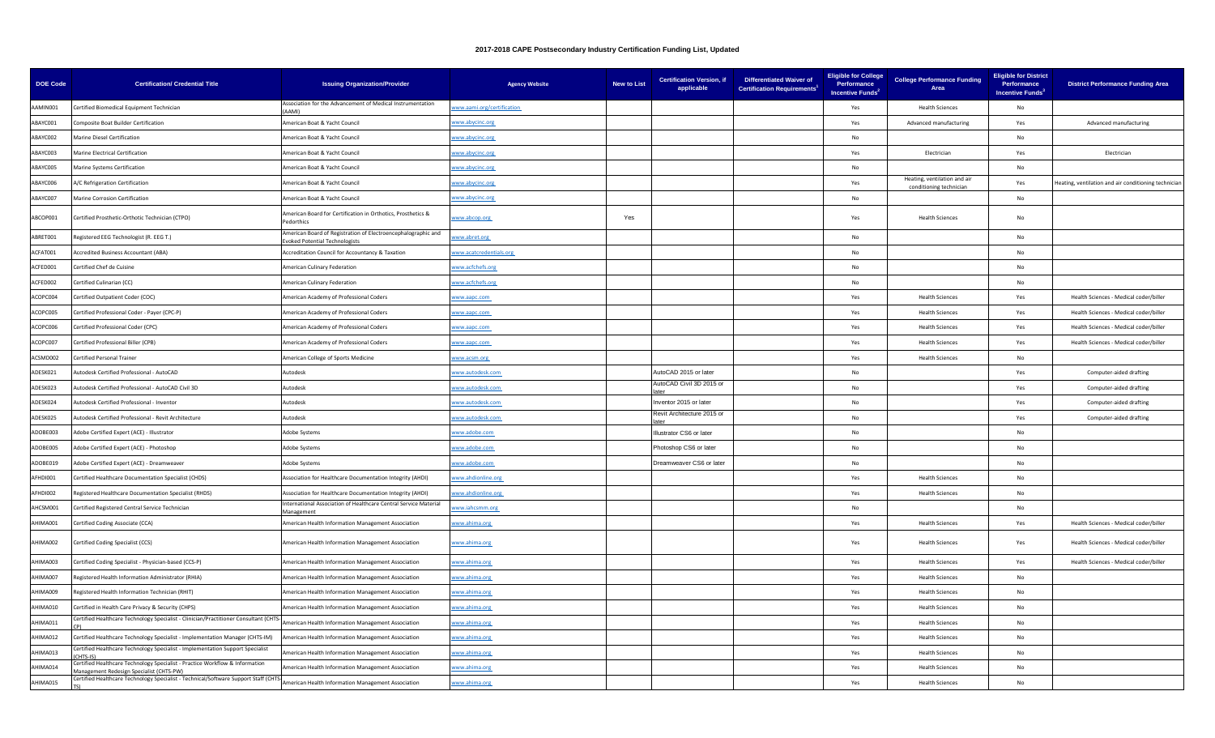| <b>DOE Code</b> | <b>Certification/ Credential Title</b>                                                                                   | <b>Issuing Organization/Provider</b>                                                           | <b>Agency Website</b>      | <b>New to List</b> | <b>Certification Version, if</b><br>applicable | <b>Differentiated Waiver of</b><br><b>Certification Requirements<sup>1</sup></b> | <b>Eligible for College</b><br>Performance<br>Incentive Funds <sup>2</sup> | <b>College Performance Funding</b><br>Area              | <b>Eligible for District</b><br>Performance<br>Incentive Funds <sup>3</sup> | <b>District Performance Funding Area</b>             |
|-----------------|--------------------------------------------------------------------------------------------------------------------------|------------------------------------------------------------------------------------------------|----------------------------|--------------------|------------------------------------------------|----------------------------------------------------------------------------------|----------------------------------------------------------------------------|---------------------------------------------------------|-----------------------------------------------------------------------------|------------------------------------------------------|
| AAMIN001        | Certified Biomedical Equipment Technician                                                                                | Association for the Advancement of Medical Instrumentation<br>AAMI)                            | www.aami.org/certification |                    |                                                |                                                                                  | Yes                                                                        | <b>Health Sciences</b>                                  | No                                                                          |                                                      |
| ABAYC001        | Composite Boat Builder Certification                                                                                     | merican Boat & Yacht Council                                                                   | www.abycinc.org            |                    |                                                |                                                                                  | Yes                                                                        | Advanced manufacturing                                  | Yes                                                                         | Advanced manufacturing                               |
| ABAYC002        | Marine Diesel Certification                                                                                              | merican Boat & Yacht Council                                                                   | ww.abycinc.org             |                    |                                                |                                                                                  | No                                                                         |                                                         | No                                                                          |                                                      |
| ABAYC003        | Marine Electrical Certification                                                                                          | American Boat & Yacht Council                                                                  | www.abycinc.org            |                    |                                                |                                                                                  | Yes                                                                        | Electrician                                             | Yes                                                                         | Electrician                                          |
| ABAYC005        | Marine Systems Certification                                                                                             | merican Boat & Yacht Council                                                                   | vww.abycinc.org            |                    |                                                |                                                                                  | No                                                                         |                                                         | No                                                                          |                                                      |
| ABAYC006        | A/C Refrigeration Certification                                                                                          | merican Boat & Yacht Council                                                                   | ww.abycinc.org             |                    |                                                |                                                                                  | Yes                                                                        | Heating, ventilation and air<br>conditioning technician | Yes                                                                         | leating, ventilation and air conditioning techniciar |
| ABAYC007        | Marine Corrosion Certification                                                                                           | American Boat & Yacht Council                                                                  | vww.abycinc.org            |                    |                                                |                                                                                  | No                                                                         |                                                         | No                                                                          |                                                      |
| ABCOP001        | Certified Prosthetic-Orthotic Technician (CTPO)                                                                          | merican Board for Certification in Orthotics, Prosthetics &<br>edorthics                       | vww.abcop.org              | Yes                |                                                |                                                                                  | Yes                                                                        | <b>Health Sciences</b>                                  | No                                                                          |                                                      |
| ABRET001        | Registered EEG Technologist (R. EEG T.)                                                                                  | American Board of Registration of Electroencephalographic and<br>voked Potential Technologists | ww.abret.org               |                    |                                                |                                                                                  | <b>No</b>                                                                  |                                                         | No                                                                          |                                                      |
| ACFAT001        | Accredited Business Accountant (ABA)                                                                                     | Accreditation Council for Accountancy & Taxation                                               | www.acatcredentials.org    |                    |                                                |                                                                                  | No                                                                         |                                                         | No                                                                          |                                                      |
| ACFED001        | Certified Chef de Cuisine                                                                                                | merican Culinary Federation                                                                    | ww.acfchefs.org            |                    |                                                |                                                                                  | No                                                                         |                                                         | No                                                                          |                                                      |
| ACFED002        | Certified Culinarian (CC)                                                                                                | merican Culinary Federation                                                                    | ww.acfchefs.org            |                    |                                                |                                                                                  | No                                                                         |                                                         | No                                                                          |                                                      |
| ACOPC004        | Certified Outpatient Coder (COC)                                                                                         | American Academy of Professional Coders                                                        | vww.aapc.com               |                    |                                                |                                                                                  | Yes                                                                        | <b>Health Sciences</b>                                  | Yes                                                                         | Health Sciences - Medical coder/biller               |
| ACOPC005        | Certified Professional Coder - Payer (CPC-P)                                                                             | merican Academy of Professional Coders                                                         | vww.aapc.com               |                    |                                                |                                                                                  | Yes                                                                        | <b>Health Sciences</b>                                  | Yes                                                                         | Health Sciences - Medical coder/biller               |
| ACOPC006        | Certified Professional Coder (CPC)                                                                                       | American Academy of Professional Coders                                                        | www.aapc.com               |                    |                                                |                                                                                  | Yes                                                                        | <b>Health Sciences</b>                                  | Yes                                                                         | Health Sciences - Medical coder/biller               |
| ACOPC007        | Certified Professional Biller (CPB)                                                                                      | merican Academy of Professional Coders                                                         | vww.aapc.com               |                    |                                                |                                                                                  | Yes                                                                        | <b>Health Sciences</b>                                  | Yes                                                                         | Health Sciences - Medical coder/biller               |
| ACSMD002        | Certified Personal Trainer                                                                                               | American College of Sports Medicine                                                            | vww.acsm.org               |                    |                                                |                                                                                  | Yes                                                                        | <b>Health Sciences</b>                                  | No                                                                          |                                                      |
| ADESK021        | Autodesk Certified Professional - AutoCAD                                                                                | Autodesk                                                                                       | ww.autodesk.com            |                    | AutoCAD 2015 or later                          |                                                                                  | <b>No</b>                                                                  |                                                         | Yes                                                                         | Computer-aided drafting                              |
| ADESK023        | Autodesk Certified Professional - AutoCAD Civil 3D                                                                       | Autodesk                                                                                       | www.autodesk.com           |                    | AutoCAD Civil 3D 2015 or                       |                                                                                  | No                                                                         |                                                         | Yes                                                                         | Computer-aided drafting                              |
| ADESK024        | Autodesk Certified Professional - Inventor                                                                               | Autodesk                                                                                       | www.autodesk.com           |                    | nventor 2015 or later                          |                                                                                  | No                                                                         |                                                         | Yes                                                                         | Computer-aided drafting                              |
| ADESK025        | Autodesk Certified Professional - Revit Architecture                                                                     | <b>Autodesk</b>                                                                                | www.autodesk.com           |                    | Revit Architecture 2015 or                     |                                                                                  | <b>No</b>                                                                  |                                                         | Yes                                                                         | Computer-aided drafting                              |
| ADOBE003        | Adobe Certified Expert (ACE) - Illustrator                                                                               | Adobe Systems                                                                                  | ww.adobe.com               |                    | Illustrator CS6 or later                       |                                                                                  | <b>No</b>                                                                  |                                                         | No                                                                          |                                                      |
| ADOBE005        | Adobe Certified Expert (ACE) - Photoshop                                                                                 | Adobe Systems                                                                                  | www.adobe.com              |                    | Photoshop CS6 or later                         |                                                                                  | No                                                                         |                                                         | No                                                                          |                                                      |
| ADOBE019        | Adobe Certified Expert (ACE) - Dreamweaver                                                                               | Adobe Systems                                                                                  | www.adobe.com              |                    | Dreamweaver CS6 or later                       |                                                                                  | No                                                                         |                                                         | No                                                                          |                                                      |
| AFHDI001        | Certified Healthcare Documentation Specialist (CHDS)                                                                     | Association for Healthcare Documentation Integrity (AHDI)                                      | vww.ahdionline.org         |                    |                                                |                                                                                  | Yes                                                                        | <b>Health Sciences</b>                                  | <b>No</b>                                                                   |                                                      |
| AFHDI002        | Registered Healthcare Documentation Specialist (RHDS)                                                                    | Association for Healthcare Documentation Integrity (AHDI)                                      | www.ahdionline.org         |                    |                                                |                                                                                  | Yes                                                                        | <b>Health Sciences</b>                                  | <b>No</b>                                                                   |                                                      |
| AHCSM001        | Certified Registered Central Service Technician                                                                          | nternational Association of Healthcare Central Service Material                                | www.iahcsmm.org            |                    |                                                |                                                                                  | No                                                                         |                                                         | No                                                                          |                                                      |
| AHIMA001        | Certified Coding Associate (CCA)                                                                                         | American Health Information Management Association                                             | www.ahima.org              |                    |                                                |                                                                                  | Yes                                                                        | <b>Health Sciences</b>                                  | Yes                                                                         | Health Sciences - Medical coder/biller               |
| AHIMA002        | Certified Coding Specialist (CCS)                                                                                        | American Health Information Management Association                                             | www.ahima.org              |                    |                                                |                                                                                  | Yes                                                                        | <b>Health Sciences</b>                                  | Yes                                                                         | Health Sciences - Medical coder/biller               |
| AHIMA003        | Certified Coding Specialist - Physician-based (CCS-P)                                                                    | merican Health Information Management Association                                              | www.ahima.org              |                    |                                                |                                                                                  | Yes                                                                        | <b>Health Sciences</b>                                  | Yes                                                                         | Health Sciences - Medical coder/biller               |
| AHIMA007        | Registered Health Information Administrator (RHIA)                                                                       | American Health Information Management Association                                             | www.ahima.org              |                    |                                                |                                                                                  | Yes                                                                        | <b>Health Sciences</b>                                  | No                                                                          |                                                      |
| <b>QOOAMIHA</b> | Registered Health Information Technician (RHIT)                                                                          | merican Health Information Management Association                                              | www.ahima.org              |                    |                                                |                                                                                  | Yes                                                                        | <b>Health Sciences</b>                                  | <b>No</b>                                                                   |                                                      |
| AHIMA010        | Certified in Health Care Privacy & Security (CHPS)                                                                       | merican Health Information Management Association                                              | ww.ahima.org               |                    |                                                |                                                                                  | Yes                                                                        | <b>Health Sciences</b>                                  | No                                                                          |                                                      |
| AHIMA011        | Certified Healthcare Technology Specialist - Clinician/Practitioner Consultant (CHT                                      | American Health Information Management Association                                             | www.ahima.org              |                    |                                                |                                                                                  | Yes                                                                        | <b>Health Sciences</b>                                  | No                                                                          |                                                      |
| AHIMA012        | Certified Healthcare Technology Specialist - Implementation Manager (CHTS-IM)                                            | merican Health Information Management Association                                              | www.ahima.org              |                    |                                                |                                                                                  | Yes                                                                        | <b>Health Sciences</b>                                  | No                                                                          |                                                      |
| AHIMA013        | Certified Healthcare Technology Specialist - Implementation Support Specialist<br>CHTS-IS                                | merican Health Information Management Association                                              | www.ahima.org              |                    |                                                |                                                                                  | Yes                                                                        | <b>Health Sciences</b>                                  | No                                                                          |                                                      |
| AHIMA014        | Certified Healthcare Technology Specialist - Practice Workflow & Information<br>Management Redesign Specialist (CHTS-PW) | merican Health Information Management Association                                              | www.ahima.org              |                    |                                                |                                                                                  | Yes                                                                        | <b>Health Sciences</b>                                  | No.                                                                         |                                                      |
| AHIMA015        | Certified Healthcare Technology Specialist - Technical/Software Support Staff (CHTS                                      | merican Health Information Management Association                                              | www.ahima.org              |                    |                                                |                                                                                  | Yes                                                                        | <b>Health Sciences</b>                                  | No                                                                          |                                                      |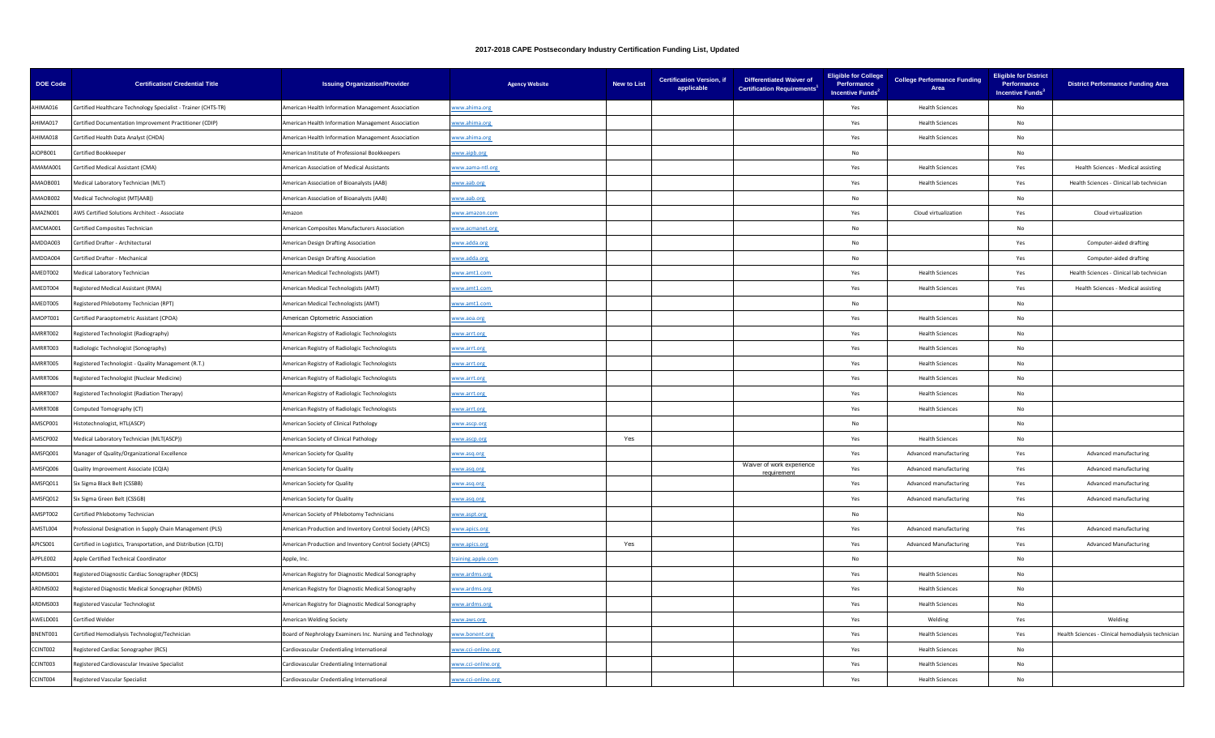| <b>DOE Code</b> | <b>Certification/ Credential Title</b>                          | <b>Issuing Organization/Provider</b>                      | <b>Agency Website</b> | <b>New to List</b> | <b>Certification Version, if</b><br>applicable | <b>Differentiated Waiver of</b><br><b>Certification Requirements<sup>1</sup></b> | <b>Eligible for College</b><br>Performance<br>Incentive Funds <sup>2</sup> | <b>College Performance Funding</b><br>Area | <b>Eligible for District</b><br>Performance<br>Incentive Funds <sup>3</sup> | <b>District Performance Funding Area</b>           |
|-----------------|-----------------------------------------------------------------|-----------------------------------------------------------|-----------------------|--------------------|------------------------------------------------|----------------------------------------------------------------------------------|----------------------------------------------------------------------------|--------------------------------------------|-----------------------------------------------------------------------------|----------------------------------------------------|
| AHIMA016        | Certified Healthcare Technology Specialist - Trainer (CHTS-TR)  | American Health Information Management Association        | www.ahima.org         |                    |                                                |                                                                                  | Yes                                                                        | <b>Health Sciences</b>                     | No                                                                          |                                                    |
| AHIMA017        | Certified Documentation Improvement Practitioner (CDIP)         | American Health Information Management Association        | vww.ahima.org         |                    |                                                |                                                                                  | Yes                                                                        | <b>Health Sciences</b>                     | No                                                                          |                                                    |
| AHIMA018        | Certified Health Data Analyst (CHDA)                            | American Health Information Management Association        | www.ahima.org         |                    |                                                |                                                                                  | Yes                                                                        | <b>Health Sciences</b>                     | <b>No</b>                                                                   |                                                    |
| AIOPB001        | Certified Bookkeeper                                            | American Institute of Professional Bookkeepers            | www.aipb.org          |                    |                                                |                                                                                  | No                                                                         |                                            | <b>No</b>                                                                   |                                                    |
| AMAMA001        | Certified Medical Assistant (CMA)                               | American Association of Medical Assistants                | vww.aama-ntl.org      |                    |                                                |                                                                                  | Yes                                                                        | <b>Health Sciences</b>                     | Yes                                                                         | Health Sciences - Medical assisting                |
| AMAOB001        | Medical Laboratory Technician (MLT)                             | merican Association of Bioanalysts (AAB)                  | ww.aab.org            |                    |                                                |                                                                                  | Yes                                                                        | <b>Health Sciences</b>                     | Yes                                                                         | Health Sciences - Clinical lab technician          |
| AMAOB002        | Medical Technologist (MT(AAB))                                  | American Association of Bioanalysts (AAB)                 | www.aab.org           |                    |                                                |                                                                                  | No                                                                         |                                            | No                                                                          |                                                    |
| AMAZN001        | AWS Certified Solutions Architect - Associate                   | Amazon                                                    | vww.amazon.com        |                    |                                                |                                                                                  | Yes                                                                        | Cloud virtualization                       | Yes                                                                         | Cloud virtualization                               |
| AMCMA001        | Certified Composites Technician                                 | American Composites Manufacturers Association             | vww.acmanet.org       |                    |                                                |                                                                                  | No                                                                         |                                            | No                                                                          |                                                    |
| AMDDA003        | Certified Drafter - Architectural                               | American Design Drafting Association                      | www.adda.org          |                    |                                                |                                                                                  | No                                                                         |                                            | Yes                                                                         | Computer-aided drafting                            |
| AMDDA004        | Certified Drafter - Mechanical                                  | American Design Drafting Association                      | www.adda.org          |                    |                                                |                                                                                  | No                                                                         |                                            | Yes                                                                         | Computer-aided drafting                            |
| AMEDT002        | Medical Laboratory Technician                                   | American Medical Technologists (AMT)                      | vww.amt1.com          |                    |                                                |                                                                                  | Yes                                                                        | <b>Health Sciences</b>                     | Yes                                                                         | Health Sciences - Clinical lab technician          |
| AMEDT004        | Registered Medical Assistant (RMA)                              | American Medical Technologists (AMT)                      | vww.amt1.com          |                    |                                                |                                                                                  | Yes                                                                        | <b>Health Sciences</b>                     | Yes                                                                         | Health Sciences - Medical assisting                |
| AMEDT005        | Registered Phlebotomy Technician (RPT)                          | American Medical Technologists (AMT)                      | www.amt1.com          |                    |                                                |                                                                                  | No                                                                         |                                            | No                                                                          |                                                    |
| AMOPT001        | Certified Paraoptometric Assistant (CPOA)                       | American Optometric Association                           | www.aoa.org           |                    |                                                |                                                                                  | Yes                                                                        | <b>Health Sciences</b>                     | <b>No</b>                                                                   |                                                    |
| AMRRT002        | Registered Technologist (Radiography)                           | American Registry of Radiologic Technologists             | www.arrt.org          |                    |                                                |                                                                                  | Yes                                                                        | <b>Health Sciences</b>                     | No                                                                          |                                                    |
| AMRRT003        | Radiologic Technologist (Sonography)                            | merican Registry of Radiologic Technologists              | www.arrt.org          |                    |                                                |                                                                                  | Yes                                                                        | <b>Health Sciences</b>                     | No                                                                          |                                                    |
| AMRRT005        | Registered Technologist - Quality Management (R.T.)             | American Registry of Radiologic Technologists             | www.arrt.org          |                    |                                                |                                                                                  | Yes                                                                        | <b>Health Sciences</b>                     | No                                                                          |                                                    |
| AMRRT006        | Registered Technologist (Nuclear Medicine)                      | American Registry of Radiologic Technologists             | www.arrt.org          |                    |                                                |                                                                                  | Yes                                                                        | <b>Health Sciences</b>                     | <b>No</b>                                                                   |                                                    |
| AMRRT007        | Registered Technologist (Radiation Therapy)                     | American Registry of Radiologic Technologists             | ww.arrt.org           |                    |                                                |                                                                                  | Yes                                                                        | <b>Health Sciences</b>                     | No                                                                          |                                                    |
| AMRRT008        | Computed Tomography (CT)                                        | American Registry of Radiologic Technologists             | www.arrt.org          |                    |                                                |                                                                                  | Yes                                                                        | <b>Health Sciences</b>                     | <b>No</b>                                                                   |                                                    |
| AMSCP001        | Histotechnologist, HTL(ASCP)                                    | American Society of Clinical Pathology                    | vww.ascp.org          |                    |                                                |                                                                                  | No                                                                         |                                            | No                                                                          |                                                    |
| AMSCP002        | Medical Laboratory Technician (MLT(ASCP))                       | American Society of Clinical Pathology                    | ww.ascp.org           | Yes                |                                                |                                                                                  | Yes                                                                        | <b>Health Sciences</b>                     | No                                                                          |                                                    |
| AMSFQ001        | Manager of Quality/Organizational Excellence                    | American Society for Quality                              | www.asq.org           |                    |                                                |                                                                                  | Yes                                                                        | Advanced manufacturing                     | Yes                                                                         | Advanced manufacturing                             |
| AMSFQ006        | Quality Improvement Associate (CQIA)                            | American Society for Quality                              | www.asq.org           |                    |                                                | Waiver of work experience<br>requirement                                         | Yes                                                                        | Advanced manufacturing                     | Yes                                                                         | Advanced manufacturing                             |
| AMSFQ011        | Six Sigma Black Belt (CSSBB)                                    | American Society for Quality                              | www.asq.org           |                    |                                                |                                                                                  | Yes                                                                        | Advanced manufacturing                     | Yes                                                                         | Advanced manufacturing                             |
| AMSFQ012        | Six Sigma Green Belt (CSSGB)                                    | American Society for Quality                              | vww.asq.org           |                    |                                                |                                                                                  | Yes                                                                        | Advanced manufacturing                     | Yes                                                                         | Advanced manufacturing                             |
| AMSPT002        | Certified Phlebotomy Technician                                 | merican Society of Phlebotomy Technicians                 | www.aspt.org          |                    |                                                |                                                                                  | No                                                                         |                                            | No                                                                          |                                                    |
| AMSTL004        | Professional Designation in Supply Chain Management (PLS)       | American Production and Inventory Control Society (APICS) | vww.apics.org         |                    |                                                |                                                                                  | Yes                                                                        | Advanced manufacturing                     | Yes                                                                         | Advanced manufacturing                             |
| APICS001        | Certified in Logistics, Transportation, and Distribution (CLTD) | American Production and Inventory Control Society (APICS) | www.apics.org         | Yes                |                                                |                                                                                  | Yes                                                                        | <b>Advanced Manufacturing</b>              | Yes                                                                         | <b>Advanced Manufacturing</b>                      |
| APPLE002        | Apple Certified Technical Coordinator                           | Apple, Inc.                                               | aining.apple.com      |                    |                                                |                                                                                  | <b>No</b>                                                                  |                                            | No                                                                          |                                                    |
| ARDMS001        | Registered Diagnostic Cardiac Sonographer (RDCS)                | American Registry for Diagnostic Medical Sonography       | www.ardms.org         |                    |                                                |                                                                                  | Yes                                                                        | <b>Health Sciences</b>                     | No                                                                          |                                                    |
| ARDMS002        | Registered Diagnostic Medical Sonographer (RDMS)                | American Registry for Diagnostic Medical Sonography       | www.ardms.org         |                    |                                                |                                                                                  | Yes                                                                        | <b>Health Sciences</b>                     | No                                                                          |                                                    |
| ARDMS003        | Registered Vascular Technologist                                | American Registry for Diagnostic Medical Sonography       | www.ardms.org         |                    |                                                |                                                                                  | Yes                                                                        | <b>Health Sciences</b>                     | No                                                                          |                                                    |
| AWELD001        | Certified Welder                                                | American Welding Society                                  | www.aws.org           |                    |                                                |                                                                                  | Yes                                                                        | Welding                                    | Yes                                                                         | Welding                                            |
| BNENT001        | Certified Hemodialysis Technologist/Technician                  | Board of Nephrology Examiners Inc. Nursing and Technology | www.bonent.org        |                    |                                                |                                                                                  | Yes                                                                        | <b>Health Sciences</b>                     | Yes                                                                         | Health Sciences - Clinical hemodialysis technician |
| CCINT002        | Registered Cardiac Sonographer (RCS)                            | Cardiovascular Credentialing International                | www.cci-online.org    |                    |                                                |                                                                                  | Yes                                                                        | <b>Health Sciences</b>                     | <b>No</b>                                                                   |                                                    |
| CCINT003        | Registered Cardiovascular Invasive Specialist                   | Cardiovascular Credentialing International                | www.cci-online.org    |                    |                                                |                                                                                  | Yes                                                                        | <b>Health Sciences</b>                     | No.                                                                         |                                                    |
| CCINT004        | <b>Registered Vascular Specialist</b>                           | Cardiovascular Credentialing International                | www.cci-online.org    |                    |                                                |                                                                                  | Yes                                                                        | <b>Health Sciences</b>                     | <b>No</b>                                                                   |                                                    |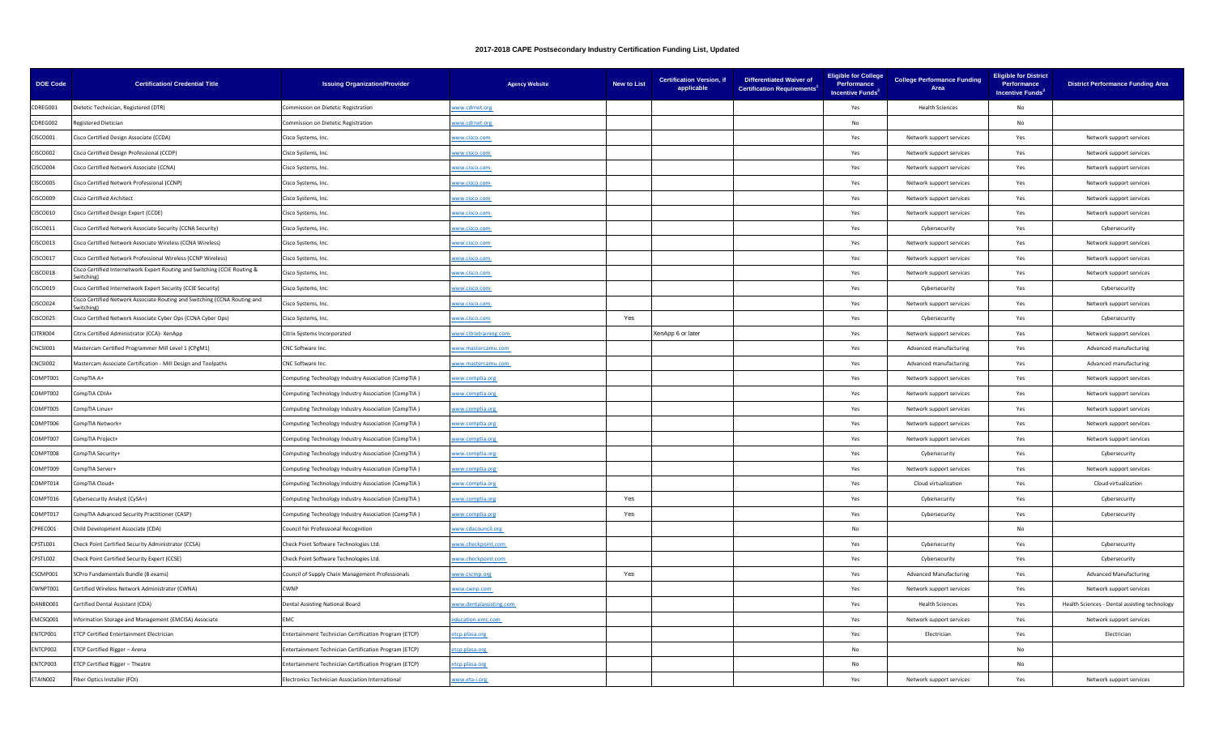| <b>DOE Code</b> | <b>Certification/ Credential Title</b>                                                 | <b>Issuing Organization/Provider</b>                    | <b>Agency Website</b>   | <b>New to List</b> | <b>Certification Version. if</b><br>applicable | <b>Differentiated Waiver of</b><br><b>Certification Requirements</b> | <b>Eligible for College</b><br>Performance<br>Incentive Funds <sup>2</sup> | <b>College Performance Funding</b><br>Area | <b>Eligible for District</b><br>Performance<br><b>Incentive Funds</b> <sup>3</sup> | <b>District Performance Funding Area</b>      |
|-----------------|----------------------------------------------------------------------------------------|---------------------------------------------------------|-------------------------|--------------------|------------------------------------------------|----------------------------------------------------------------------|----------------------------------------------------------------------------|--------------------------------------------|------------------------------------------------------------------------------------|-----------------------------------------------|
| CDREG001        | lietetic Technician, Registered (DTR)                                                  | Commission on Dietetic Registration                     | www.cdrnet.org          |                    |                                                |                                                                      | Yes                                                                        | <b>Health Sciences</b>                     | No                                                                                 |                                               |
| CDREG002        | Registered Dietician                                                                   | Commission on Dietetic Registration                     | www.cdrnet.org          |                    |                                                |                                                                      | No                                                                         |                                            | No                                                                                 |                                               |
| CISCO001        | Cisco Certified Design Associate (CCDA)                                                | Cisco Systems, Inc.                                     | www.cisco.com           |                    |                                                |                                                                      | Yes                                                                        | Network support services                   | Yes                                                                                | Network support services                      |
| <b>CISCO002</b> | Cisco Certified Design Professional (CCDP)                                             | Cisco Systems, Inc.                                     | www.cisco.com           |                    |                                                |                                                                      | Yes                                                                        | Network support services                   | Yes                                                                                | Network support services                      |
| <b>CISCO004</b> | Cisco Certified Network Associate (CCNA)                                               | Cisco Systems, Inc.                                     | vww.cisco.com           |                    |                                                |                                                                      | Yes                                                                        | Network support services                   | Yes                                                                                | Network support services                      |
| <b>CISCO005</b> | Cisco Certified Network Professional (CCNP)                                            | Cisco Systems, Inc.                                     | vww.cisco.com           |                    |                                                |                                                                      | Yes                                                                        | Network support services                   | Yes                                                                                | Network support services                      |
| <b>CISCO009</b> | Cisco Certified Architect                                                              | Cisco Systems, Inc.                                     | www.cisco.com           |                    |                                                |                                                                      | Yes                                                                        | Network support services                   | Yes                                                                                | Network support services                      |
| CISCO010        | Cisco Certified Design Expert (CCDE)                                                   | Cisco Systems, Inc.                                     | www.cisco.com           |                    |                                                |                                                                      | Yes                                                                        | Network support services                   | Yes                                                                                | Network support services                      |
| CISCO011        | Cisco Certified Network Associate Security (CCNA Security)                             | Cisco Systems, Inc.                                     | vww.cisco.com           |                    |                                                |                                                                      | Yes                                                                        | Cybersecurity                              | Yes                                                                                | Cybersecurity                                 |
| CISCO013        | Cisco Certified Network Associate Wireless (CCNA Wireless)                             | Cisco Systems, Inc.                                     | www.cisco.com           |                    |                                                |                                                                      | Yes                                                                        | Network support services                   | Yes                                                                                | Network support services                      |
| <b>CISCO017</b> | Cisco Certified Network Professional Wireless (CCNP Wireless)                          | Cisco Systems, Inc.                                     | www.cisco.com           |                    |                                                |                                                                      | Yes                                                                        | Network support services                   | Yes                                                                                | Network support services                      |
| <b>CISCO018</b> | Cisco Certified Internetwork Expert Routing and Switching (CCIE Routing &<br>vitching) | Cisco Systems, Inc.                                     | vww.cisco.com           |                    |                                                |                                                                      | Yes                                                                        | Network support services                   | Yes                                                                                | Network support services                      |
| CISCO019        | Cisco Certified Internetwork Expert Security (CCIE Security)                           | Cisco Systems, Inc.                                     | www.cisco.com           |                    |                                                |                                                                      | Yes                                                                        | Cybersecurity                              | Yes                                                                                | Cybersecurity                                 |
| CISCO024        | isco Certified Network Associate Routing and Switching (CCNA Routing and               | Cisco Systems, Inc.                                     | www.cisco.com           |                    |                                                |                                                                      | Yes                                                                        | Network support services                   | Yes                                                                                | Network support services                      |
| <b>CISCO025</b> | Cisco Certified Network Associate Cyber Ops (CCNA Cyber Ops)                           | Cisco Systems, Inc.                                     | www.cisco.com           | Yes                |                                                |                                                                      | Yes                                                                        | Cybersecurity                              | Yes                                                                                | Cybersecurity                                 |
| CITRX004        | Citrix Certified Administrator (CCA)- XenApp                                           | Citrix Systems Incorporated                             | www.citrixtraining.com  |                    | XenApp 6 or later                              |                                                                      | Yes                                                                        | Network support services                   | Yes                                                                                | Network support services                      |
| NCSI001         | Mastercam Certified Programmer Mill Level 1 (CPgM1)                                    | CNC Software Inc.                                       | www.mastercamu.com      |                    |                                                |                                                                      | Yes                                                                        | Advanced manufacturing                     | Yes                                                                                | Advanced manufacturing                        |
| CNCSI002        | Mastercam Associate Certification - Mill Design and Toolpaths                          | CNC Software Inc.                                       | www.mastercamu.com      |                    |                                                |                                                                      | Yes                                                                        | Advanced manufacturing                     | Yes                                                                                | Advanced manufacturing                        |
| COMPT001        | +A AlTqmo                                                                              | Computing Technology Industry Association (CompTIA)     | www.comptia.org         |                    |                                                |                                                                      | Yes                                                                        | Network support services                   | Yes                                                                                | Network support services                      |
| COMPT002        | ompTIA CDIA+                                                                           | Computing Technology Industry Association (CompTIA)     | vww.comptia.org         |                    |                                                |                                                                      | Yes                                                                        | Network support services                   | Yes                                                                                | Network support services                      |
| COMPT005        | ompTIA Linux+                                                                          | Computing Technology Industry Association (CompTIA)     | www.comptia.org         |                    |                                                |                                                                      | Yes                                                                        | Network support services                   | Yes                                                                                | Network support services                      |
| COMPT006        | ompTIA Network+                                                                        | Computing Technology Industry Association (CompTIA)     | www.comptia.org         |                    |                                                |                                                                      | Yes                                                                        | Network support services                   | Yes                                                                                | Network support services                      |
| COMPT007        | ompTIA Project+                                                                        | Computing Technology Industry Association (CompTIA)     | vww.comptia.org         |                    |                                                |                                                                      | Yes                                                                        | Network support services                   | Yes                                                                                | Network support services                      |
| 800T9MO2        | ompTIA Security+                                                                       | Computing Technology Industry Association (CompTIA)     | www.comptia.org         |                    |                                                |                                                                      | Yes                                                                        | Cybersecurity                              | Yes                                                                                | Cybersecurity                                 |
| COMPT009        | ompTIA Server+                                                                         | Computing Technology Industry Association (CompTIA)     | www.comptia.org         |                    |                                                |                                                                      | Yes                                                                        | Network support services                   | Yes                                                                                | Network support services                      |
| COMPT014        | ompTIA Cloud+                                                                          | Computing Technology Industry Association (CompTIA)     | www.comptia.org         |                    |                                                |                                                                      | Yes                                                                        | Cloud virtualization                       | Yes                                                                                | Cloud virtualization                          |
| COMPT016        | Cybersecurity Analyst (CySA+)                                                          | Computing Technology Industry Association (CompTIA)     | www.comptia.org         | Yes                |                                                |                                                                      | Yes                                                                        | Cybersecurity                              | Yes                                                                                | Cybersecurity                                 |
| COMPT017        | ompTIA Advanced Security Practitioner (CASP)                                           | Computing Technology Industry Association (CompTIA)     | www.comptia.org         | Yes                |                                                |                                                                      | Yes                                                                        | Cybersecurity                              | Yes                                                                                | Cybersecurity                                 |
| CPREC001        | Child Development Associate (CDA)                                                      | Council for Professional Recognition                    | vww.cdacouncil.org      |                    |                                                |                                                                      | No                                                                         |                                            | No                                                                                 |                                               |
| CPSTL001        | Check Point Certified Security Administrator (CCSA)                                    | Check Point Software Technologies Ltd.                  | www.checkpoint.com      |                    |                                                |                                                                      | Yes                                                                        | Cybersecurity                              | Yes                                                                                | Cybersecurity                                 |
| CPSTL002        | Check Point Certified Security Expert (CCSE)                                           | Check Point Software Technologies Ltd.                  | ww.checkpoint.com       |                    |                                                |                                                                      | Yes                                                                        | Cybersecurity                              | Yes                                                                                | Cybersecurity                                 |
| CSCMP001        | SCPro Fundamentals Bundle (8 exams)                                                    | Council of Supply Chain Management Professionals        | www.cscmp.org           | Yes                |                                                |                                                                      | Yes                                                                        | <b>Advanced Manufacturing</b>              | Yes                                                                                | <b>Advanced Manufacturing</b>                 |
| CWNPT001        | Certified Wireless Network Administrator (CWNA)                                        | CWNP                                                    | vww.cwnp.com            |                    |                                                |                                                                      | Yes                                                                        | Network support services                   | Yes                                                                                | Network support services                      |
| DANBD001        | Certified Dental Assistant (CDA)                                                       | Dental Assisting National Board                         | www.dentalassisting.com |                    |                                                |                                                                      | Yes                                                                        | <b>Health Sciences</b>                     | Yes                                                                                | Health Sciences - Dental assisting technology |
| MCSQ001         | nformation Storage and Management (EMCISA) Associate                                   | EMC                                                     | education.emc.com       |                    |                                                |                                                                      | Yes                                                                        | Network support services                   | Yes                                                                                | Network support services                      |
| <b>INTCP001</b> | TCP Certified Entertainment Electrician                                                | Entertainment Technician Certification Program (ETCP)   | etcp.plasa.org          |                    |                                                |                                                                      | Yes                                                                        | Electrician                                | Yes                                                                                | Electrician                                   |
| ENTCP002        | ETCP Certified Rigger - Arena                                                          | Entertainment Technician Certification Program (ETCP)   | etcp.plasa.org          |                    |                                                |                                                                      | No                                                                         |                                            | No.                                                                                |                                               |
| ENTCP003        | ETCP Certified Rigger - Theatre                                                        | Entertainment Technician Certification Program (ETCP)   | etcp.plasa.org          |                    |                                                |                                                                      | No.                                                                        |                                            | No                                                                                 |                                               |
| TAIN002         | Fiber Optics Installer (FOI)                                                           | <b>Electronics Technician Association International</b> | www.eta-i.org           |                    |                                                |                                                                      | Yes                                                                        | Network support services                   | Yes                                                                                | Network support services                      |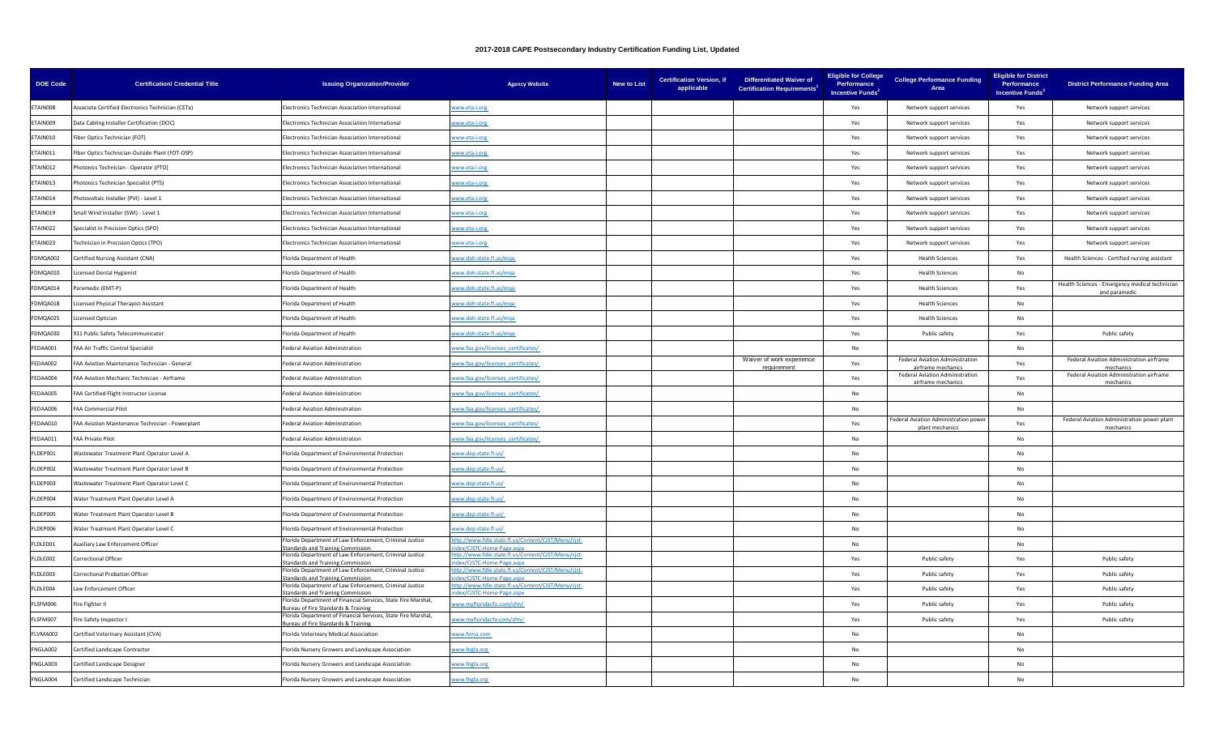| <b>DOE Code</b> | <b>Certification/ Credential Title</b>            | <b>Issuing Organization/Provider</b>                                                               | <b>Agency Website</b>                                                          | <b>New to List</b> | <b>Certification Version, if</b><br>applicable | <b>Differentiated Waiver of</b><br><b>Certification Requirements</b> | <b>Eligible for College</b><br>Performance<br>Incentive Funds <sup>2</sup> | <b>College Performance Funding</b><br>Area               | <b>Eligible for District</b><br>Performance<br>Incentive Funds <sup>3</sup> | <b>District Performance Funding Area</b>                        |
|-----------------|---------------------------------------------------|----------------------------------------------------------------------------------------------------|--------------------------------------------------------------------------------|--------------------|------------------------------------------------|----------------------------------------------------------------------|----------------------------------------------------------------------------|----------------------------------------------------------|-----------------------------------------------------------------------------|-----------------------------------------------------------------|
| ETAIN008        | Associate Certified Electronics Technician (CETa) | lectronics Technician Association International                                                    | ww.eta-i.org                                                                   |                    |                                                |                                                                      | Yes                                                                        | Network support services                                 | Yes                                                                         | Network support services                                        |
| ETAIN009        | Data Cabling Installer Certification (DCIC)       | lectronics Technician Association International                                                    | www.eta-i.org                                                                  |                    |                                                |                                                                      | Yes                                                                        | Network support services                                 | Yes                                                                         | Network support services                                        |
| ETAIN010        | Fiber Optics Technician (FOT)                     | lectronics Technician Association International                                                    | www.eta-i.org                                                                  |                    |                                                |                                                                      | Yes                                                                        | Network support services                                 | Yes                                                                         | Network support services                                        |
| ETAIN011        | iber Optics Technician-Outside Plant (FOT-OSP)    | lectronics Technician Association International                                                    | ww.eta-i.org                                                                   |                    |                                                |                                                                      | Yes                                                                        | Network support services                                 | Yes                                                                         | Network support services                                        |
| ETAIN012        | Photonics Technician - Operator (PTO)             | lectronics Technician Association International                                                    | www.eta-i.org                                                                  |                    |                                                |                                                                      | Yes                                                                        | Network support services                                 | Yes                                                                         | Network support services                                        |
| ETAIN013        | Photonics Technician Specialist (PTS)             | lectronics Technician Association International                                                    | www.eta-i.org                                                                  |                    |                                                |                                                                      | Yes                                                                        | Network support services                                 | Yes                                                                         | Network support services                                        |
| ETAIN014        | Photovoltaic Installer (PVI) - Level 1            | lectronics Technician Association International                                                    | vww.eta-i.org                                                                  |                    |                                                |                                                                      | Yes                                                                        | Network support services                                 | Yes                                                                         | Network support services                                        |
| ETAIN019        | Small Wind Installer (SWI) - Level 1              | Electronics Technician Association International                                                   | ww.eta-i.org                                                                   |                    |                                                |                                                                      | Yes                                                                        | Network support services                                 | Yes                                                                         | Network support services                                        |
| ETAIN022        | Specialist in Precision Optics (SPO)              | lectronics Technician Association International                                                    | www.eta-i.org                                                                  |                    |                                                |                                                                      | Yes                                                                        | Network support services                                 | Yes                                                                         | Network support services                                        |
| ETAIN023        | <b>Technician in Precision Optics (TPO)</b>       | Electronics Technician Association International                                                   | www.eta-i.org                                                                  |                    |                                                |                                                                      | Yes                                                                        | Network support services                                 | Yes                                                                         | Network support services                                        |
| FDMQA002        | Certified Nursing Assistant (CNA)                 | lorida Department of Health                                                                        | www.doh.state.fl.us/mga                                                        |                    |                                                |                                                                      | Yes                                                                        | <b>Health Sciences</b>                                   | Yes                                                                         | Health Sciences - Certified nursing assistant                   |
| FDMQA010        | icensed Dental Hygienist                          | lorida Department of Health                                                                        | ww.doh.state.fl.us/mqa                                                         |                    |                                                |                                                                      | Yes                                                                        | <b>Health Sciences</b>                                   | No                                                                          |                                                                 |
| FDMQA014        | Paramedic (EMT-P)                                 | lorida Department of Health                                                                        | www.doh.state.fl.us/mqa                                                        |                    |                                                |                                                                      | Yes                                                                        | <b>Health Sciences</b>                                   | Yes                                                                         | Health Sciences - Emergency medical technician<br>and paramedic |
| FDMQA018        | icensed Physical Therapist Assistant              | lorida Denartment of Health                                                                        | www.doh.state.fl.us/mga                                                        |                    |                                                |                                                                      | Yes                                                                        | <b>Health Sciences</b>                                   | <b>No</b>                                                                   |                                                                 |
| FDMQA025        | icensed Optician                                  | lorida Department of Health                                                                        | ww.doh.state.fl.us/mqa                                                         |                    |                                                |                                                                      | Yes                                                                        | <b>Health Sciences</b>                                   | No                                                                          |                                                                 |
| FDMQA030        | 911 Public Safety Telecommunicator                | lorida Department of Health                                                                        | www.doh.state.fl.us/mqa                                                        |                    |                                                |                                                                      | Yes                                                                        | Public safety                                            | Yes                                                                         | Public safety                                                   |
| FEDAA001        | FAA Air Traffic Control Specialist                | ederal Aviation Administration                                                                     | www.faa.gov/licenses_certificates/                                             |                    |                                                |                                                                      | No                                                                         |                                                          | No                                                                          |                                                                 |
| FEDAA002        | FAA Aviation Maintenance Technician - General     | ederal Aviation Administration                                                                     | ww.faa.gov/licenses_certificates/                                              |                    |                                                | Waiver of work experience<br>requirement                             | Yes                                                                        | Federal Aviation Administration<br>airframe mechanics    | Yes                                                                         | Federal Aviation Administration airframe<br>mechanics           |
| FEDAA004        | FAA Aviation Mechanic Technician - Airframe       | Federal Aviation Administration                                                                    | www.faa.gov/licenses_certificates/                                             |                    |                                                |                                                                      | Yes                                                                        | Federal Aviation Administration<br>airframe mechanics    | Yes                                                                         | Federal Aviation Administration airframe<br>mechanics           |
| FEDAA005        | FAA Certified Flight Instructor License           | ederal Aviation Administration                                                                     | www.faa.gov/licenses_certificates/                                             |                    |                                                |                                                                      | No                                                                         |                                                          | No                                                                          |                                                                 |
| FFDAA006        | <b>FAA Commercial Pilot</b>                       | Federal Aviation Administration                                                                    | vww.faa.gov/licenses_certificates/                                             |                    |                                                |                                                                      | <b>No</b>                                                                  |                                                          | <b>No</b>                                                                   |                                                                 |
| FFDAA010        | FAA Aviation Maintenance Technician - Powerplant  | Federal Aviation Administration                                                                    | ww.faa.gov/licenses_certificates/                                              |                    |                                                |                                                                      | Yes                                                                        | Federal Aviation Administration power<br>plant mechanics | Yes                                                                         | Federal Aviation Administration power plant<br>mechanics        |
| FEDAA011        | <b>FAA Private Pilot</b>                          | ederal Aviation Administration                                                                     | ww.faa.gov/licenses_certificates/                                              |                    |                                                |                                                                      | No                                                                         |                                                          | No                                                                          |                                                                 |
| FLDEP001        | Wastewater Treatment Plant Operator Level A       | Florida Department of Environmental Protection                                                     | www.dep.state.fl.us/                                                           |                    |                                                |                                                                      | No                                                                         |                                                          | No                                                                          |                                                                 |
| FLDEP002        | Wastewater Treatment Plant Operator Level B       | lorida Department of Environmental Protection                                                      | www.dep.state.fl.us/                                                           |                    |                                                |                                                                      | No                                                                         |                                                          | No                                                                          |                                                                 |
| FLDEP003        | Wastewater Treatment Plant Operator Level C       | lorida Department of Environmental Protection                                                      | ww.dep.state.fl.us/                                                            |                    |                                                |                                                                      | <b>No</b>                                                                  |                                                          | No                                                                          |                                                                 |
| FLDEP004        | Water Treatment Plant Operator Level A            | lorida Department of Environmental Protection                                                      | www.dep.state.fl.us/                                                           |                    |                                                |                                                                      | No                                                                         |                                                          | No                                                                          |                                                                 |
| FLDEP005        | Water Treatment Plant Operator Level B            | lorida Denartment of Environmental Protection                                                      | www.dep.state.fl.us/                                                           |                    |                                                |                                                                      | <b>No</b>                                                                  |                                                          | <b>No</b>                                                                   |                                                                 |
| FLDEP006        | Water Treatment Plant Operator Level C            | lorida Department of Environmental Protection                                                      | ww.dep.state.fl.us/                                                            |                    |                                                |                                                                      | <b>No</b>                                                                  |                                                          | No.                                                                         |                                                                 |
| FLDLE001        | Auxiliary Law Enforcement Officer                 | lorida Department of Law Enforcement, Criminal Justice<br>tandards and Training Commission         | tp://www.fdle.state.fl.us/Content/CJST/Menu/cjst-<br>dex/CJSTC-Home-Page.aspx  |                    |                                                |                                                                      | No                                                                         |                                                          | No                                                                          |                                                                 |
| FLDLE002        | Correctional Officer                              | orida Department of Law Enforcement, Criminal Justice<br>andards and Training Commission           | tp://www.fdle.state.fl.us/Content/CJST/Menu/cjst-<br>dex/CJSTC-Home-Page.aspx  |                    |                                                |                                                                      | Yes                                                                        | Public safety                                            | Yes                                                                         | Public safety                                                   |
| FLDLE003        | Correctional Probation Officer                    | lorida Department of Law Enforcement, Criminal Justice<br>andards and Training Commission          | tp://www.fdle.state.fl.us/Content/CJST/Menu/cjst-<br>dex/CISTC-Home-Page.aspx  |                    |                                                |                                                                      | Yes                                                                        | Public safety                                            | Yes                                                                         | Public safety                                                   |
| FLDLE004        | Law Enforcement Officer                           | lorida Department of Law Enforcement, Criminal Justice<br>tandards and Training Commission         | ttp://www.fdle.state.fl.us/Content/CJST/Menu/cjst-<br>lex/CJSTC-Home-Page.aspx |                    |                                                |                                                                      | Yes                                                                        | Public safety                                            | Yes                                                                         | Public safety                                                   |
| FLSFM006        | Fire Fighter II                                   | orida Department of Financial Services, State Fire Marshal,<br>ureau of Fire Standards & Training  | ww.myfloridacfo.com/sfm/                                                       |                    |                                                |                                                                      | Yes                                                                        | Public safety                                            | Yes                                                                         | Public safety                                                   |
| FLSFM007        | Fire Safety Inspector I                           | lorida Department of Financial Services, State Fire Marshal.<br>ureau of Fire Standards & Training | www.myfloridacfo.com/sfm/                                                      |                    |                                                |                                                                      | Yes                                                                        | Public safety                                            | Yes                                                                         | Public safety                                                   |
| LVMA002         | Certified Veterinary Assistant (CVA)              | lorida Veterinary Medical Association                                                              | www.fyma.com                                                                   |                    |                                                |                                                                      | No                                                                         |                                                          | <b>No</b>                                                                   |                                                                 |
| FNGLA002        | Certified Landscape Contractor                    | lorida Nursery Growers and Landscape Association                                                   | www.fngla.org                                                                  |                    |                                                |                                                                      | No                                                                         |                                                          | No                                                                          |                                                                 |
| FNGLA003        | Certified Landscape Designer                      | lorida Nursery Growers and Landscape Association                                                   | www.fngla.org                                                                  |                    |                                                |                                                                      | <b>No</b>                                                                  |                                                          | No                                                                          |                                                                 |
| FNGLA004        | Certified Landscape Technician                    | Florida Nursery Growers and Landscape Association                                                  | www.fngla.org                                                                  |                    |                                                |                                                                      | <b>No</b>                                                                  |                                                          | No                                                                          |                                                                 |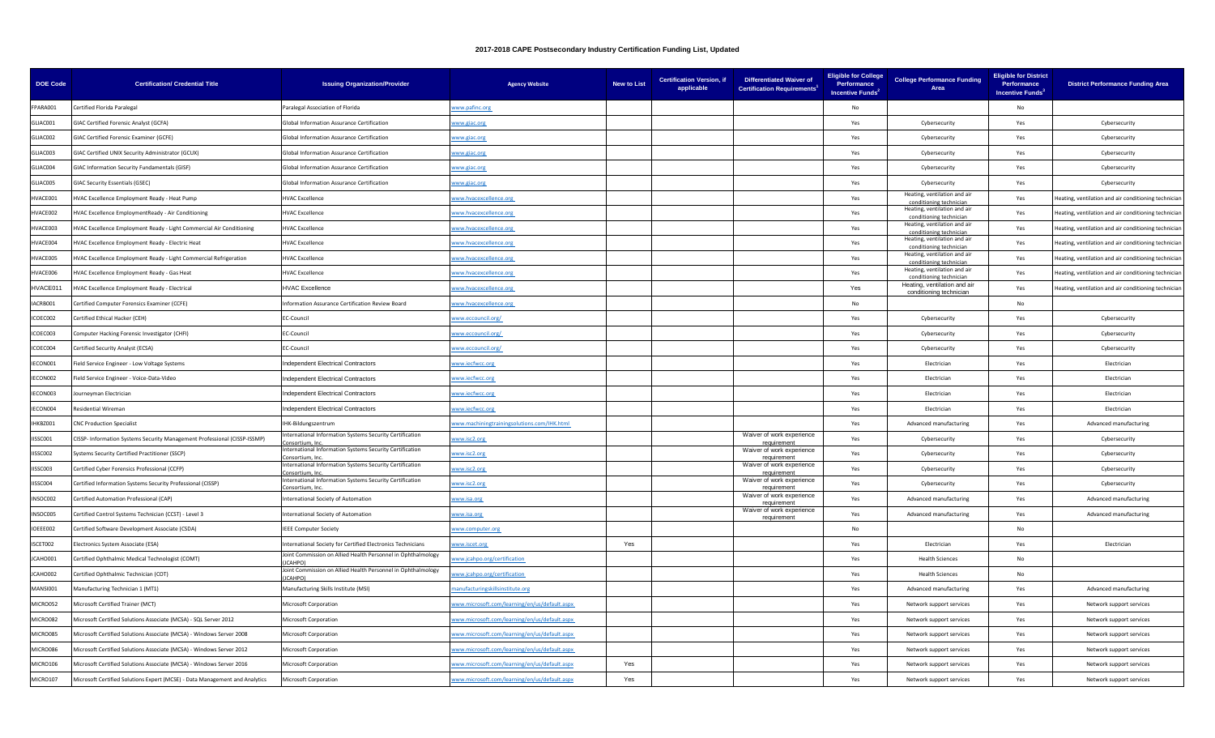| <b>DOE Code</b> | <b>Certification/ Credential Title</b>                                      | <b>Issuing Organization/Provider</b>                                          | <b>Agency Website</b>                         | <b>New to List</b> | <b>Certification Version, if</b><br>applicable | <b>Differentiated Waiver of</b><br><b>Certification Requirements</b> | <b>Eligible for College</b><br>Performance<br>Incentive Funds <sup>2</sup> | <b>College Performance Funding</b><br>Area              | <b>Eligible for District</b><br>Performance<br><b>Incentive Funds</b> <sup>3</sup> | <b>District Performance Funding Area</b>             |
|-----------------|-----------------------------------------------------------------------------|-------------------------------------------------------------------------------|-----------------------------------------------|--------------------|------------------------------------------------|----------------------------------------------------------------------|----------------------------------------------------------------------------|---------------------------------------------------------|------------------------------------------------------------------------------------|------------------------------------------------------|
| FPARA001        | Certified Florida Paralegal                                                 | Paralegal Association of Florida                                              | ww.pafinc.org                                 |                    |                                                |                                                                      | No                                                                         |                                                         | No                                                                                 |                                                      |
| GLIAC001        | GIAC Certified Forensic Analyst (GCFA)                                      | Global Information Assurance Certification                                    | ww.giac.org                                   |                    |                                                |                                                                      | Yes                                                                        | Cybersecurity                                           | Yes                                                                                | Cybersecurity                                        |
| GLIAC002        | <b>GIAC Certified Forensic Examiner (GCFE)</b>                              | <b>Global Information Assurance Certification</b>                             | www.giac.org                                  |                    |                                                |                                                                      | Yes                                                                        | Cybersecurity                                           | Yes                                                                                | Cybersecurity                                        |
| GLIAC003        | GIAC Certified UNIX Security Administrator (GCUX)                           | Global Information Assurance Certification                                    | ww.giac.org                                   |                    |                                                |                                                                      | Yes                                                                        | Cybersecurity                                           | Yes                                                                                | Cybersecurity                                        |
| GLIAC004        | GIAC Information Security Fundamentals (GISF)                               | Global Information Assurance Certification                                    | ww.giac.org                                   |                    |                                                |                                                                      | Yes                                                                        | Cybersecurity                                           | Yes                                                                                | Cybersecurity                                        |
| GLIAC005        | GIAC Security Essentials (GSEC)                                             | Global Information Assurance Certification                                    | ww.giac.org                                   |                    |                                                |                                                                      | Yes                                                                        | Cybersecurity                                           | Yes                                                                                | Cybersecurity                                        |
| HVACE001        | HVAC Excellence Employment Ready - Heat Pump                                | <b>HVAC Excellence</b>                                                        | ww.hvacexcellence.org                         |                    |                                                |                                                                      | Yes                                                                        | Heating, ventilation and air<br>conditioning techniciar | Yes                                                                                | leating, ventilation and air conditioning technicia  |
| HVACE002        | HVAC Excellence EmploymentReady - Air Conditioning                          | <b>HVAC Excellence</b>                                                        | ww.hvacexcellence.org                         |                    |                                                |                                                                      | Yes                                                                        | Heating, ventilation and air<br>conditioning technician | Yes                                                                                | leating, ventilation and air conditioning techniciar |
| IVACE003        | IVAC Excellence Employment Ready - Light Commercial Air Conditioning        | <b>IVAC Excellence</b>                                                        | ww.hvacexcellence.org                         |                    |                                                |                                                                      | Yes                                                                        | Heating, ventilation and air<br>conditioning technician | Yes                                                                                | leating, ventilation and air conditioning technicia  |
| HVACE004        | HVAC Excellence Employment Ready - Electric Heat                            | <b>HVAC Excellence</b>                                                        | www.hvacexcellence.org                        |                    |                                                |                                                                      | Yes                                                                        | Heating, ventilation and air<br>conditioning techniciar | Yes                                                                                | leating, ventilation and air conditioning techniciar |
| HVACE005        | HVAC Excellence Employment Ready - Light Commercial Refrigeration           | <b>HVAC Excellence</b>                                                        | ww.hvacexcellence.org                         |                    |                                                |                                                                      | Yes                                                                        | Heating, ventilation and air<br>conditioning technician | Yes                                                                                | leating, ventilation and air conditioning techniciar |
| HVACE006        | IVAC Excellence Employment Ready - Gas Heat                                 | <b>IVAC Excellence</b>                                                        | ww.hvacexcellence.org                         |                    |                                                |                                                                      | Yes                                                                        | Heating, ventilation and air<br>conditioning technician | Yes                                                                                | leating, ventilation and air conditioning technicia  |
| <b>IVACE011</b> | IVAC Excellence Employment Ready - Electrical                               | <b>HVAC Excellence</b>                                                        | ww.hvacexcellence.org                         |                    |                                                |                                                                      | Yes                                                                        | Heating, ventilation and air<br>conditioning technician | Yes                                                                                | leating, ventilation and air conditioning techniciar |
| ACRB001         | Certified Computer Forensics Examiner (CCFE)                                | nformation Assurance Certification Review Board                               | www.hvacexcellence.org                        |                    |                                                |                                                                      | No                                                                         |                                                         | No                                                                                 |                                                      |
| COEC002         | Certified Ethical Hacker (CEH)                                              | EC-Council                                                                    | ww.eccouncil.org/                             |                    |                                                |                                                                      | Yes                                                                        | Cybersecurity                                           | Yes                                                                                | Cybersecurity                                        |
| ICOEC003        | Computer Hacking Forensic Investigator (CHFI)                               | EC-Council                                                                    | ww.eccouncil.org/                             |                    |                                                |                                                                      | Yes                                                                        | Cybersecurity                                           | Yes                                                                                | Cybersecurity                                        |
| ICOEC004        | Certified Security Analyst (ECSA)                                           | <b>C-Council</b>                                                              | www.eccouncil.org/                            |                    |                                                |                                                                      | Yes                                                                        | Cybersecurity                                           | Yes                                                                                | Cybersecurity                                        |
| IFCON001        | Field Service Engineer - Low Voltage Systems                                | ndependent Electrical Contractors                                             | ww.iecfwcc.org                                |                    |                                                |                                                                      | Yes                                                                        | Flectrician                                             | Yes                                                                                | Flectrician                                          |
| ECON002         | Field Service Engineer - Voice-Data-Video                                   | ndependent Electrical Contractors                                             | ww.iecfwcc.org                                |                    |                                                |                                                                      | Yes                                                                        | Electrician                                             | Yes                                                                                | Electrician                                          |
| ECON003         | ourneyman Electrician                                                       | ndependent Electrical Contractors                                             | ww.iecfwcc.org                                |                    |                                                |                                                                      | Yes                                                                        | Electrician                                             | Yes                                                                                | Electrician                                          |
| ECON004         | Residential Wireman                                                         | ndependent Electrical Contractors                                             | www.iecfwcc.org                               |                    |                                                |                                                                      | Yes                                                                        | Electrician                                             | Yes                                                                                | Electrician                                          |
| <b>HKBZ001</b>  | <b>CNC Production Specialist</b>                                            | <b>IHK-Bildungszentrum</b>                                                    | ww.machiningtrainingsolutions.com/IHK.html    |                    |                                                |                                                                      | Yes                                                                        | Advanced manufacturing                                  | Yes                                                                                | Advanced manufacturing                               |
| ISSC001         | CISSP- Information Systems Security Management Professional (CISSP-ISSMP)   | ternational Information Systems Security Certification<br>onsortium, Inc      | ww.isc2.org                                   |                    |                                                | Waiver of work experience<br>requirement                             | Yes                                                                        | Cybersecurity                                           | Yes                                                                                | Cybersecurity                                        |
| <b>SSC002</b>   | Systems Security Certified Practitioner (SSCP)                              | nternational Information Systems Security Certification<br>onsortium, In      | www.isc2.org                                  |                    |                                                | Waiver of work experience<br>requirement                             | Yes                                                                        | Cybersecurity                                           | Yes                                                                                | Cybersecurity                                        |
| <b>SSC003</b>   | Certified Cyber Forensics Professional (CCFP)                               | nternational Information Systems Security Certification<br>onsortium, In      | www.isc2.org                                  |                    |                                                | Waiver of work experience<br>requirement                             | Yes                                                                        | Cybersecurity                                           | Yes                                                                                | Cybersecurity                                        |
| ISSC004         | Certified Information Systems Security Professional (CISSP)                 | nternational Information Systems Security Certification<br>onsortium, Inc     | ww.isc2.org                                   |                    |                                                | Waiver of work experience<br>roguiromont                             | Yes                                                                        | Cybersecurity                                           | Yes                                                                                | Cybersecurity                                        |
| NSOC002         | Certified Automation Professional (CAP)                                     | nternational Society of Automation                                            | ww.isa.org                                    |                    |                                                | Waiver of work experience<br>requirement                             | Yes                                                                        | Advanced manufacturing                                  | Yes                                                                                | Advanced manufacturing                               |
| VSOC005         | Certified Control Systems Technician (CCST) - Level 3                       | nternational Society of Automation                                            | www.isa.org                                   |                    |                                                | Waiver of work experience<br>requirement                             | Yes                                                                        | Advanced manufacturing                                  | Yes                                                                                | Advanced manufacturing                               |
| IOEEE002        | Certified Software Development Associate (CSDA)                             | <b>IEEE Computer Society</b>                                                  | ww.computer.org                               |                    |                                                |                                                                      | <b>No</b>                                                                  |                                                         | No                                                                                 |                                                      |
| SCET002         | Electronics System Associate (ESA)                                          | nternational Society for Certified Electronics Technicians                    | ww.iscet.org                                  | Yes                |                                                |                                                                      | Yes                                                                        | Electrician                                             | Yes                                                                                | Electrician                                          |
| ICAHO001        | Certified Ophthalmic Medical Technologist (COMT)                            | oint Commission on Allied Health Personnel in Ophthalmology<br><b>ICAHPOI</b> | ww.jcahpo.org/certification                   |                    |                                                |                                                                      | Yes                                                                        | <b>Health Sciences</b>                                  | No                                                                                 |                                                      |
| ICAHO002        | Certified Ophthalmic Technician (COT)                                       | Joint Commission on Allied Health Personnel in Ophthalmology<br>CAHPO)        | ww.jcahpo.org/certification                   |                    |                                                |                                                                      | Yes                                                                        | <b>Health Sciences</b>                                  | <b>No</b>                                                                          |                                                      |
| MANSI001        | Manufacturing Technician 1 (MT1)                                            | Manufacturing Skills Institute (MSI)                                          | anufacturingskillsinstitute.org               |                    |                                                |                                                                      | Yes                                                                        | Advanced manufacturing                                  | Yes                                                                                | Advanced manufacturing                               |
| MICRO052        | Microsoft Certified Trainer (MCT)                                           | Microsoft Corporation                                                         | ww.microsoft.com/learning/en/us/default.aspx  |                    |                                                |                                                                      | Yes                                                                        | Network support services                                | Yes                                                                                | Network support services                             |
| MICRO082        | Microsoft Certified Solutions Associate (MCSA) - SQL Server 2012            | Microsoft Corporation                                                         | ww.microsoft.com/learning/en/us/default.aspx  |                    |                                                |                                                                      | Yes                                                                        | Network support services                                | Yes                                                                                | Network support services                             |
| AICRO085        | Microsoft Certified Solutions Associate (MCSA) - Windows Server 2008        | Microsoft Corporation                                                         | www.microsoft.com/learning/en/us/default.aspx |                    |                                                |                                                                      | Yes                                                                        | Network support services                                | Yes                                                                                | Network support services                             |
| MICRO086        | Microsoft Certified Solutions Associate (MCSA) - Windows Server 2012        | Microsoft Corporation                                                         | ww.microsoft.com/learning/en/us/default.aspx  |                    |                                                |                                                                      | Yes                                                                        | Network support services                                | Yes                                                                                | Network support services                             |
| MICRO106        | Microsoft Certified Solutions Associate (MCSA) - Windows Server 2016        | Microsoft Corporation                                                         | www.microsoft.com/learning/en/us/default.aspx | Yes                |                                                |                                                                      | Yes                                                                        | Network support services                                | Yes                                                                                | Network support services                             |
| MICRO107        | Microsoft Certified Solutions Expert (MCSE) - Data Management and Analytics | Microsoft Corporation                                                         | www.microsoft.com/learning/en/us/default.aspx | Yes                |                                                |                                                                      | Yes                                                                        | Network support services                                | Yes                                                                                | Network support services                             |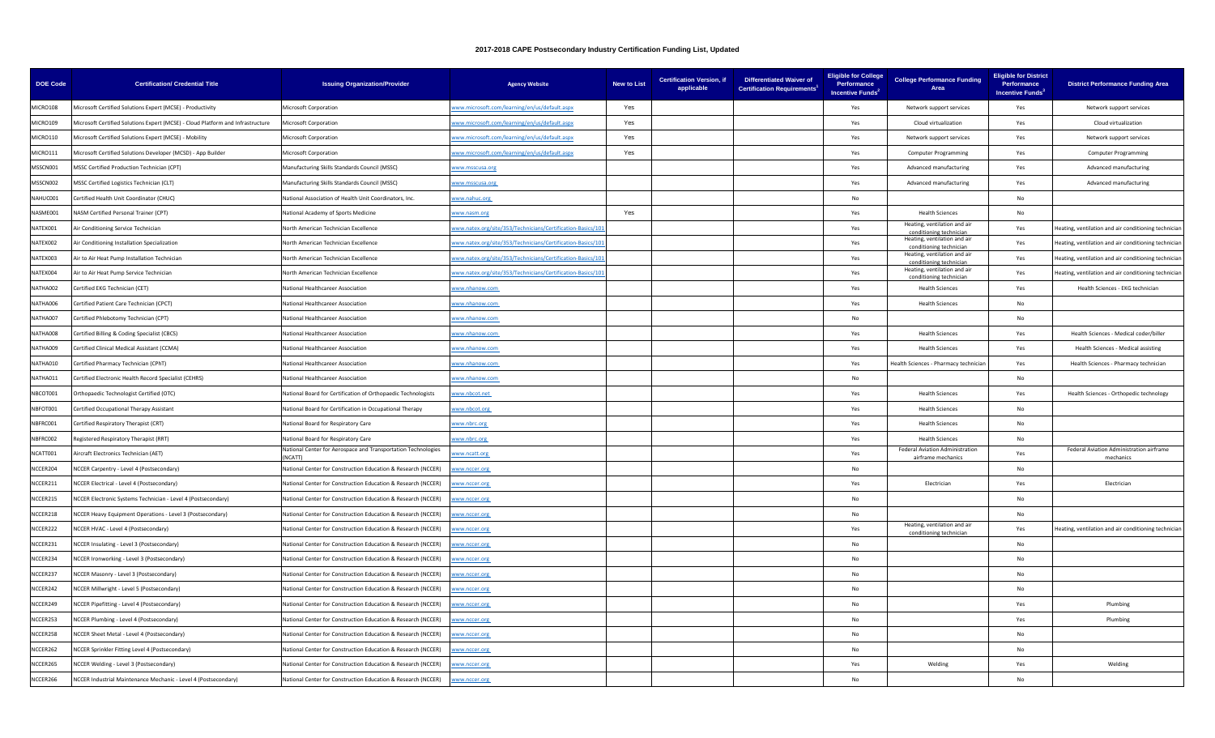| <b>DOE Code</b> | <b>Certification/ Credential Title</b>                                          | <b>Issuing Organization/Provider</b>                                           | <b>Agency Website</b>                                      | <b>New to List</b> | <b>Certification Version, if</b><br>applicable | <b>Differentiated Waiver of</b><br><b>Certification Requirements<sup>1</sup></b> | <b>Eligible for College</b><br>Performance<br>Incentive Funds <sup>2</sup> | <b>College Performance Funding</b><br>Area              | <b>Eligible for District</b><br>Performance<br>Incentive Funds <sup>3</sup> | <b>District Performance Funding Area</b>              |
|-----------------|---------------------------------------------------------------------------------|--------------------------------------------------------------------------------|------------------------------------------------------------|--------------------|------------------------------------------------|----------------------------------------------------------------------------------|----------------------------------------------------------------------------|---------------------------------------------------------|-----------------------------------------------------------------------------|-------------------------------------------------------|
| MICRO108        | Microsoft Certified Solutions Expert (MCSE) - Productivity                      | Microsoft Corporation                                                          | ww.microsoft.com/learning/en/us/default.aspx               | Yes                |                                                |                                                                                  | Yes                                                                        | Network support services                                | Yes                                                                         | Network support services                              |
| MICRO109        | Microsoft Certified Solutions Expert (MCSE) - Cloud Platform and Infrastructure | Microsoft Corporation                                                          | www.microsoft.com/learning/en/us/default.aspx              | Yes                |                                                |                                                                                  | Yes                                                                        | Cloud virtualization                                    | Yes                                                                         | Cloud virtualization                                  |
| MICRO110        | Microsoft Certified Solutions Expert (MCSE) - Mobility                          | Microsoft Corporation                                                          | www.microsoft.com/learning/en/us/default.aspx              | Yes                |                                                |                                                                                  | Yes                                                                        | Network support services                                | Yes                                                                         | Network support services                              |
| MICRO111        | Microsoft Certified Solutions Developer (MCSD) - App Builder                    | Microsoft Corporation                                                          | ww.microsoft.com/learning/en/us/default.aspx               | Yes                |                                                |                                                                                  | Yes                                                                        | <b>Computer Programming</b>                             | Yes                                                                         | <b>Computer Programming</b>                           |
| MSSCN001        | MSSC Certified Production Technician (CPT)                                      | Manufacturing Skills Standards Council (MSSC)                                  | www.msscusa.org                                            |                    |                                                |                                                                                  | Yes                                                                        | Advanced manufacturing                                  | Yes                                                                         | Advanced manufacturing                                |
| MSSCN002        | MSSC Certified Logistics Technician (CLT)                                       | Manufacturing Skills Standards Council (MSSC)                                  | vww.msscusa.org                                            |                    |                                                |                                                                                  | Yes                                                                        | Advanced manufacturing                                  | Yes                                                                         | Advanced manufacturing                                |
| NAHUC001        | Certified Health Unit Coordinator (CHUC)                                        | Vational Association of Health Unit Coordinators, Inc                          | ww.nahuc.org                                               |                    |                                                |                                                                                  | N <sub>0</sub>                                                             |                                                         | No                                                                          |                                                       |
| NASME001        | NASM Certified Personal Trainer (CPT)                                           | <b>Vational Academy of Sports Medicine</b>                                     | ww.nasm.org                                                | Yes                |                                                |                                                                                  | Yes                                                                        | <b>Health Sciences</b>                                  | No                                                                          |                                                       |
| NATEX001        | Air Conditioning Service Technician                                             | Vorth American Technician Excellence                                           | vww.natex.org/site/353/Technicians/Certification-Basics/10 |                    |                                                |                                                                                  | Yes                                                                        | Heating, ventilation and air<br>conditioning technician | Yes                                                                         | leating, ventilation and air conditioning technician  |
| NATEX002        | Air Conditioning Installation Specialization                                    | Jorth American Technician Excellence                                           | vww.natex.org/site/353/Technicians/Certification-Basics/10 |                    |                                                |                                                                                  | Yes                                                                        | Heating, ventilation and air<br>conditioning techniciar | Yes                                                                         | leating, ventilation and air conditioning techniciar  |
| NATEX003        | Air to Air Heat Pump Installation Technician                                    | <b>North American Technician Excellence</b>                                    | www.natex.org/site/353/Technicians/Certification-Basics/10 |                    |                                                |                                                                                  | Yes                                                                        | Heating, ventilation and air<br>conditioning technician | Yes                                                                         | leating, ventilation and air conditioning technician  |
| NATEX004        | Air to Air Heat Pump Service Technician                                         | lorth American Technician Excellence                                           | ww.natex.org/site/353/Technicians/Certification-Basics/10  |                    |                                                |                                                                                  | Yes                                                                        | Heating, ventilation and air<br>conditioning technician | Yes                                                                         | leating, ventilation and air conditioning technician  |
| NATHA002        | Certified EKG Technician (CET)                                                  | Vational Healthcareer Association                                              | www.nhanow.com                                             |                    |                                                |                                                                                  | Yes                                                                        | <b>Health Sciences</b>                                  | Yes                                                                         | Health Sciences - EKG technician                      |
| NATHA006        | Certified Patient Care Technician (CPCT)                                        | <b>Vational Healthcareer Association</b>                                       | vww.nhanow.com                                             |                    |                                                |                                                                                  | Yes                                                                        | <b>Health Sciences</b>                                  | <b>No</b>                                                                   |                                                       |
| NATHA007        | Certified Phlebotomy Technician (CPT)                                           | lational Healthcareer Association                                              | ww.nhanow.com                                              |                    |                                                |                                                                                  | <b>No</b>                                                                  |                                                         | No                                                                          |                                                       |
| NATHA008        | Certified Billing & Coding Specialist (CBCS)                                    | <b>National Healthcareer Association</b>                                       | www.nhanow.com                                             |                    |                                                |                                                                                  | Yes                                                                        | <b>Health Sciences</b>                                  | Yes                                                                         | Health Sciences - Medical coder/biller                |
| NATHA009        | Certified Clinical Medical Assistant (CCMA)                                     | <b>National Healthcareer Association</b>                                       | vww.nhanow.com                                             |                    |                                                |                                                                                  | Yes                                                                        | <b>Health Sciences</b>                                  | Yes                                                                         | Health Sciences - Medical assisting                   |
| NATHA010        | Certified Pharmacy Technician (CPhT)                                            | lational Healthcareer Association                                              | ww.nhanow.com                                              |                    |                                                |                                                                                  | Yes                                                                        | Health Sciences - Pharmacy techniciar                   | Yes                                                                         | Health Sciences - Pharmacy technician                 |
| NATHA011        | Certified Electronic Health Record Specialist (CEHRS)                           | National Healthcareer Association                                              | www.nhanow.com                                             |                    |                                                |                                                                                  | No                                                                         |                                                         | No                                                                          |                                                       |
| NBCOT001        | Orthopaedic Technologist Certified (OTC)                                        | Vational Board for Certification of Orthopaedic Technologists                  | www.nbcot.net                                              |                    |                                                |                                                                                  | Yes                                                                        | <b>Health Sciences</b>                                  | Yes                                                                         | Health Sciences - Orthopedic technology               |
| NBFOT001        | Certified Occupational Therapy Assistant                                        | Vational Board for Certification in Occupational Therapy                       | www.nbcot.org                                              |                    |                                                |                                                                                  | Yes                                                                        | <b>Health Sciences</b>                                  | No.                                                                         |                                                       |
| NBFRC001        | Certified Respiratory Therapist (CRT)                                           | National Board for Respiratory Care                                            | www.nbrc.org                                               |                    |                                                |                                                                                  | Yes                                                                        | <b>Health Sciences</b>                                  | No                                                                          |                                                       |
| NBFRC002        | Registered Respiratory Therapist (RRT)                                          | <b>Vational Board for Respiratory Care</b>                                     | www.nbrc.org                                               |                    |                                                |                                                                                  | Yes                                                                        | <b>Health Sciences</b>                                  | No                                                                          |                                                       |
| NCATT001        | Aircraft Electronics Technician (AET)                                           | National Center for Aerospace and Transportation Technologies<br><b>NCATTI</b> | ww.ncatt.org                                               |                    |                                                |                                                                                  | Yes                                                                        | Federal Aviation Administration<br>airframe mechanic    | Yes                                                                         | Federal Aviation Administration airframe<br>mechanics |
| NCCER204        | NCCER Carpentry - Level 4 (Postsecondary)                                       | Vational Center for Construction Education & Research (NCCER)                  | ww.nccer.org                                               |                    |                                                |                                                                                  | No                                                                         |                                                         | No                                                                          |                                                       |
| NCCER211        | NCCER Electrical - Level 4 (Postsecondary)                                      | Vational Center for Construction Education & Research (NCCER)                  | ww.nccer.org                                               |                    |                                                |                                                                                  | Yes                                                                        | Electrician                                             | Yes                                                                         | Electrician                                           |
| NCCER215        | NCCER Electronic Systems Technician - Level 4 (Postsecondary)                   | Vational Center for Construction Education & Research (NCCER)                  | www.nccer.org                                              |                    |                                                |                                                                                  | No                                                                         |                                                         | No                                                                          |                                                       |
| NCCER218        | NCCER Heavy Equipment Operations - Level 3 (Postsecondary)                      | Vational Center for Construction Education & Research (NCCER)                  | ww.nccer.org                                               |                    |                                                |                                                                                  | <b>No</b>                                                                  |                                                         | <b>No</b>                                                                   |                                                       |
| NCCER222        | NCCER HVAC - Level 4 (Postsecondary)                                            | lational Center for Construction Education & Research (NCCER)                  | ww.nccer.org                                               |                    |                                                |                                                                                  | Yes                                                                        | Heating, ventilation and air<br>conditioning technicia  | Yes                                                                         | leating, ventilation and air conditioning technician  |
| NCCER231        | NCCER Insulating - Level 3 (Postsecondary)                                      | National Center for Construction Education & Research (NCCER)                  | ww.nccer.org                                               |                    |                                                |                                                                                  | No                                                                         |                                                         | No                                                                          |                                                       |
| NCCER234        | NCCER Ironworking - Level 3 (Postsecondary)                                     | Vational Center for Construction Education & Research (NCCER)                  | ww.nccer.org                                               |                    |                                                |                                                                                  | No                                                                         |                                                         | No                                                                          |                                                       |
| NCCER237        | NCCER Masonry - Level 3 (Postsecondary)                                         | Vational Center for Construction Education & Research (NCCER)                  | ww.nccer.org                                               |                    |                                                |                                                                                  | <b>No</b>                                                                  |                                                         | No                                                                          |                                                       |
| NCCER242        | NCCER Millwright - Level 5 (Postsecondary)                                      | National Center for Construction Education & Research (NCCER)                  | ww.nccer.org                                               |                    |                                                |                                                                                  | <b>No</b>                                                                  |                                                         | No                                                                          |                                                       |
| NCCER249        | NCCER Pipefitting - Level 4 (Postsecondary)                                     | Vational Center for Construction Education & Research (NCCER)                  | ww.nccer.org                                               |                    |                                                |                                                                                  | No                                                                         |                                                         | Yes                                                                         | Plumbing                                              |
| NCCER253        | NCCER Plumbing - Level 4 (Postsecondary)                                        | Vational Center for Construction Education & Research (NCCER)                  | ww.nccer.org                                               |                    |                                                |                                                                                  | No                                                                         |                                                         | Yes                                                                         | Plumbing                                              |
| NCCER258        | NCCER Sheet Metal - Level 4 (Postsecondary)                                     | National Center for Construction Education & Research (NCCER)                  | ww.nccer.org                                               |                    |                                                |                                                                                  | No                                                                         |                                                         | No                                                                          |                                                       |
| NCCER262        | NCCER Sprinkler Fitting Level 4 (Postsecondary)                                 | Vational Center for Construction Education & Research (NCCER)                  | ww.nccer.org                                               |                    |                                                |                                                                                  | No                                                                         |                                                         | No                                                                          |                                                       |
| NCCER265        | NCCER Welding - Level 3 (Postsecondary)                                         | Vational Center for Construction Education & Research (NCCER)                  | www.nccer.org                                              |                    |                                                |                                                                                  | Yes                                                                        | Welding                                                 | Yes                                                                         | Welding                                               |
| NCCER266        | NCCER Industrial Maintenance Mechanic - Level 4 (Postsecondary)                 | Vational Center for Construction Education & Research (NCCER)                  | www.nccer.org                                              |                    |                                                |                                                                                  | <b>No</b>                                                                  |                                                         | No                                                                          |                                                       |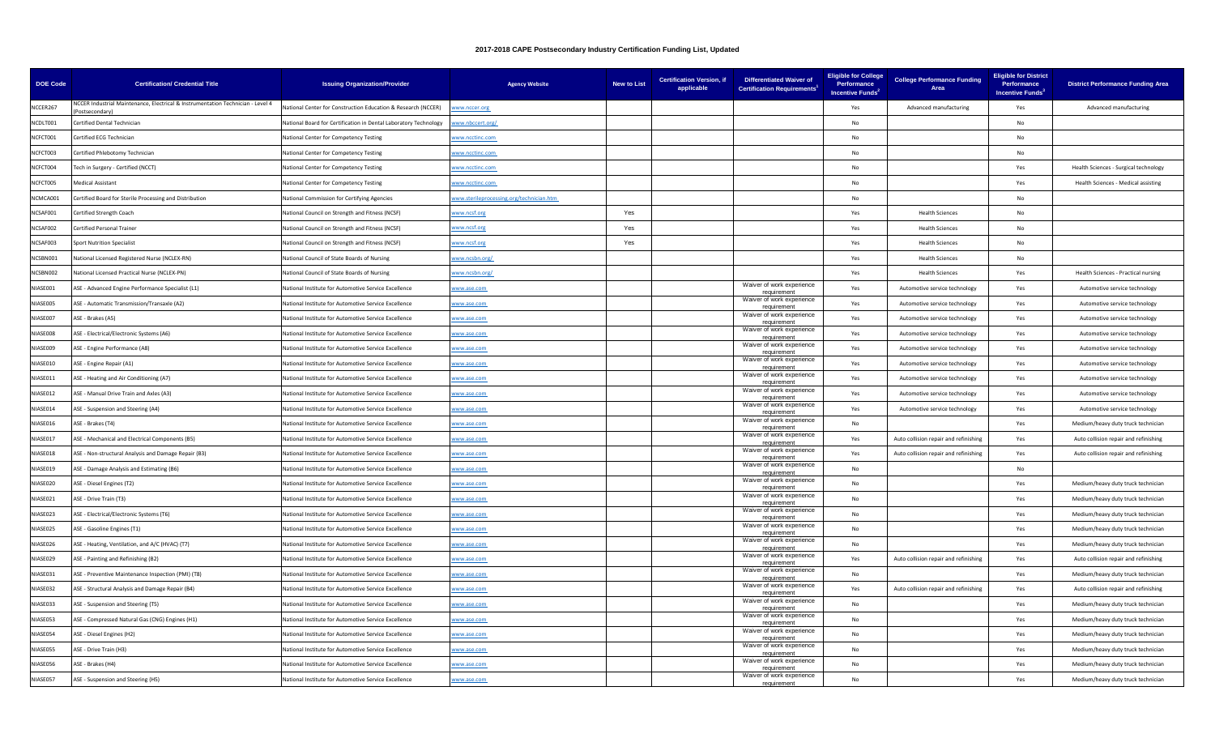| <b>DOE Code</b> | <b>Certification/ Credential Title</b>                                                           | <b>Issuing Organization/Provider</b>                             | <b>Agency Website</b>                    | <b>New to List</b> | <b>Certification Version, if</b><br>applicable | <b>Differentiated Waiver of</b><br><b>Certification Requirements</b> | <b>Eligible for College</b><br>Performance<br><b>Incentive Funds<sup>2</sup></b> | <b>College Performance Funding</b><br>Area | <b>Eligible for District</b><br>Performance<br>Incentive Funds <sup>3</sup> | <b>District Performance Funding Area</b> |
|-----------------|--------------------------------------------------------------------------------------------------|------------------------------------------------------------------|------------------------------------------|--------------------|------------------------------------------------|----------------------------------------------------------------------|----------------------------------------------------------------------------------|--------------------------------------------|-----------------------------------------------------------------------------|------------------------------------------|
| NCCER267        | NCCER Industrial Maintenance, Electrical & Instrumentation Technician - Level 4<br>nstserondary) | lational Center for Construction Education & Research (NCCER)    | ww.nccer.org                             |                    |                                                |                                                                      | Yes                                                                              | Advanced manufacturing                     | Yes                                                                         | Advanced manufacturing                   |
| NCDLT001        | Certified Dental Technician                                                                      | National Board for Certification in Dental Laboratory Technology | ww.nbccert.org/                          |                    |                                                |                                                                      | No                                                                               |                                            | No                                                                          |                                          |
| NCFCT001        | Certified ECG Technician                                                                         | National Center for Competency Testing                           | www.ncctinc.com                          |                    |                                                |                                                                      | No                                                                               |                                            | No                                                                          |                                          |
| NCFCT003        | Certified Phlebotomy Technician                                                                  | National Center for Competency Testing                           | www.ncctinc.com                          |                    |                                                |                                                                      | No.                                                                              |                                            | No                                                                          |                                          |
| NCFCT004        | Tech in Surgery - Certified (NCCT)                                                               | National Center for Competency Testing                           | www.ncctinc.com                          |                    |                                                |                                                                      | No.                                                                              |                                            | Yes                                                                         | Health Sciences - Surgical technology    |
| NCFCT005        | <b>Medical Assistant</b>                                                                         | <b>Vational Center for Competency Testing</b>                    | ww.ncctinc.com                           |                    |                                                |                                                                      | No                                                                               |                                            | Yes                                                                         | Health Sciences - Medical assisting      |
| NCMCA001        | Certified Board for Sterile Processing and Distribution                                          | National Commission for Certifying Agencies                      | www.sterileprocessing.org/technician.htm |                    |                                                |                                                                      | No                                                                               |                                            | $\mathsf{No}$                                                               |                                          |
| NCSAF001        | Certified Strength Coach                                                                         | National Council on Strength and Fitness (NCSF)                  | ww.ncsf.org                              | Yes                |                                                |                                                                      | Yes                                                                              | <b>Health Sciences</b>                     | $\mathsf{No}$                                                               |                                          |
| NCSAF002        | Certified Personal Trainer                                                                       | National Council on Strength and Fitness (NCSF)                  | www.ncsf.org                             | Yes                |                                                |                                                                      | Yes                                                                              | <b>Health Sciences</b>                     | No                                                                          |                                          |
| NCSAF003        | <b>Sport Nutrition Specialist</b>                                                                | National Council on Strength and Fitness (NCSF)                  | www.ncsf.org                             | Yes                |                                                |                                                                      | Yes                                                                              | <b>Health Sciences</b>                     | No                                                                          |                                          |
| NCSBN001        | National Licensed Registered Nurse (NCLEX-RN)                                                    | National Council of State Boards of Nursing                      | www.ncsbn.org/                           |                    |                                                |                                                                      | Yes                                                                              | <b>Health Sciences</b>                     | No                                                                          |                                          |
| NCSBN002        | National Licensed Practical Nurse (NCLEX-PN)                                                     | National Council of State Boards of Nursing                      | ww.ncsbn.org/                            |                    |                                                |                                                                      | Yes                                                                              | <b>Health Sciences</b>                     | Yes                                                                         | Health Sciences - Practical nursing      |
| NIASE001        | ASE - Advanced Engine Performance Specialist (L1)                                                | National Institute for Automotive Service Excellence             | vww.ase.com                              |                    |                                                | Waiver of work experience<br>requirement                             | Yes                                                                              | Automotive service technology              | Yes                                                                         | Automotive service technology            |
| NIASE005        | ASE - Automatic Transmission/Transaxle (A2)                                                      | National Institute for Automotive Service Excellence             | www.ase.com                              |                    |                                                | Waiver of work experience<br>requirement                             | Yes                                                                              | Automotive service technology              | Yes                                                                         | Automotive service technology            |
| NIASE007        | ASE - Brakes (A5)                                                                                | National Institute for Automotive Service Excellence             | www.ase.com                              |                    |                                                | Waiver of work experience<br>requirement                             | Yes                                                                              | Automotive service technology              | Yes                                                                         | Automotive service technology            |
| NIASE008        | ASE - Electrical/Electronic Systems (A6)                                                         | National Institute for Automotive Service Excellence             | www.ase.com                              |                    |                                                | Waiver of work experience<br>requirement                             | Yes                                                                              | Automotive service technology              | Yes                                                                         | Automotive service technology            |
| NIASE009        | ASE - Engine Performance (A8)                                                                    | National Institute for Automotive Service Excellence             | www.ase.com                              |                    |                                                | Waiver of work experience<br>requirement                             | Yes                                                                              | Automotive service technology              | Yes                                                                         | Automotive service technology            |
| NIASE010        | ASE - Engine Repair (A1)                                                                         | National Institute for Automotive Service Excellence             | www.ase.com                              |                    |                                                | Waiver of work experience<br>requirement                             | Yes                                                                              | Automotive service technology              | Yes                                                                         | Automotive service technology            |
| NIASE011        | ASE - Heating and Air Conditioning (A7)                                                          | National Institute for Automotive Service Excellence             | vww.ase.com                              |                    |                                                | Waiver of work experience<br>requirement                             | Yes                                                                              | Automotive service technology              | Yes                                                                         | Automotive service technology            |
| NIASE012        | ASE - Manual Drive Train and Axles (A3)                                                          | National Institute for Automotive Service Excellence             | vww.ase.com                              |                    |                                                | Waiver of work experience<br>reauirement                             | Yes                                                                              | Automotive service technology              | Yes                                                                         | Automotive service technology            |
| NIASE014        | ASE - Suspension and Steering (A4)                                                               | National Institute for Automotive Service Excellence             | www.ase.com                              |                    |                                                | Waiver of work experience<br>requirement                             | Yes                                                                              | Automotive service technology              | Yes                                                                         | Automotive service technology            |
| NIASE016        | ASE - Brakes (T4)                                                                                | National Institute for Automotive Service Excellence             | vww.ase.com                              |                    |                                                | Waiver of work experience<br>requirement                             | <b>No</b>                                                                        |                                            | Yes                                                                         | Medium/heavy duty truck technician       |
| NIASE017        | ASE - Mechanical and Electrical Components (B5)                                                  | National Institute for Automotive Service Excellence             | vww.ase.com                              |                    |                                                | Waiver of work experience<br>requirement                             | Yes                                                                              | Auto collision repair and refinishing      | Yes                                                                         | Auto collision repair and refinishing    |
| NIASE018        | ASE - Non-structural Analysis and Damage Repair (B3)                                             | National Institute for Automotive Service Excellence             | www.ase.com                              |                    |                                                | Waiver of work experience<br>requirement                             | Yes                                                                              | Auto collision repair and refinishing      | Yes                                                                         | Auto collision repair and refinishing    |
| NIASE019        | ASE - Damage Analysis and Estimating (B6)                                                        | National Institute for Automotive Service Excellence             | www.ase.com                              |                    |                                                | Waiver of work experience<br>requirement                             | No                                                                               |                                            | No                                                                          |                                          |
| NIASE020        | ASE - Diesel Engines (T2)                                                                        | National Institute for Automotive Service Excellence             | www.ase.com                              |                    |                                                | Waiver of work experience<br>requirement                             | No.                                                                              |                                            | Yes                                                                         | Medium/heavy duty truck technician       |
| NIASE021        | ASE - Drive Train (T3)                                                                           | National Institute for Automotive Service Excellence             | www.ase.com                              |                    |                                                | Waiver of work experience<br>requirement                             | N <sub>0</sub>                                                                   |                                            | Yes                                                                         | Medium/heavy duty truck technician       |
| NIASE023        | ASE - Electrical/Electronic Systems (T6)                                                         | National Institute for Automotive Service Excellence             | www.ase.com                              |                    |                                                | Waiver of work experience<br>requiremen                              | No                                                                               |                                            | Yes                                                                         | Medium/heavy duty truck technician       |
| NIASE025        | ASE - Gasoline Engines (T1)                                                                      | National Institute for Automotive Service Excellence             | vww.ase.com                              |                    |                                                | Waiver of work experience<br>requirement                             | No                                                                               |                                            | Yes                                                                         | Medium/heavy duty truck technician       |
| NIASE026        | ASE - Heating, Ventilation, and A/C (HVAC) (T7)                                                  | National Institute for Automotive Service Excellence             | vww.ase.com                              |                    |                                                | Waiver of work experience<br>requirement                             | No                                                                               |                                            | Yes                                                                         | Medium/heavy duty truck technician       |
| NIASE029        | ASE - Painting and Refinishing (B2)                                                              | National Institute for Automotive Service Excellence             | ww.ase.com                               |                    |                                                | Waiver of work experience<br>eauirement                              | Yes                                                                              | Auto collision repair and refinishing      | Yes                                                                         | Auto collision repair and refinishing    |
| NIASE031        | ASE - Preventive Maintenance Inspection (PMI) (T8)                                               | National Institute for Automotive Service Excellence             | www.ase.com                              |                    |                                                | Waiver of work experience<br>requirement                             | No                                                                               |                                            | Yes                                                                         | Medium/heavy duty truck technician       |
| NIASE032        | ASE - Structural Analysis and Damage Repair (B4)                                                 | National Institute for Automotive Service Excellence             | vww.ase.com                              |                    |                                                | Waiver of work experience<br>requirement                             | Yes                                                                              | Auto collision repair and refinishing      | Yes                                                                         | Auto collision repair and refinishing    |
| NIASE033        | ASE - Suspension and Steering (T5)                                                               | National Institute for Automotive Service Excellence             | vww.ase.com                              |                    |                                                | Waiver of work experience<br>requirement                             | <b>No</b>                                                                        |                                            | Yes                                                                         | Medium/heavy duty truck technician       |
| NIASE053        | ASE - Compressed Natural Gas (CNG) Engines (H1)                                                  | National Institute for Automotive Service Excellence             | www.ase.com                              |                    |                                                | Waiver of work experience<br>requirement                             | No                                                                               |                                            | Yes                                                                         | Medium/heavy duty truck technician       |
| NIASE054        | ASE - Diesel Engines (H2)                                                                        | National Institute for Automotive Service Excellence             | www.ase.com                              |                    |                                                | Waiver of work experience<br>requirement                             | No                                                                               |                                            | Yes                                                                         | Medium/heavy duty truck technician       |
| NIASE055        | ASE - Drive Train (H3)                                                                           | National Institute for Automotive Service Excellence             | www.ase.com                              |                    |                                                | Waiver of work experience<br>requirement                             | No.                                                                              |                                            | Yes                                                                         | Medium/heavy duty truck technician       |
| NIASE056        | ASE - Brakes (H4)                                                                                | National Institute for Automotive Service Excellence             | www.ase.com                              |                    |                                                | Waiver of work experience<br>requirement                             | No.                                                                              |                                            | Yes                                                                         | Medium/heavy duty truck technician       |
| NIASE057        | ASE - Suspension and Steering (H5)                                                               | National Institute for Automotive Service Excellence             | www.ase.com                              |                    |                                                | Waiver of work experience<br>requirement                             | No                                                                               |                                            | Yes                                                                         | Medium/heavy duty truck technician       |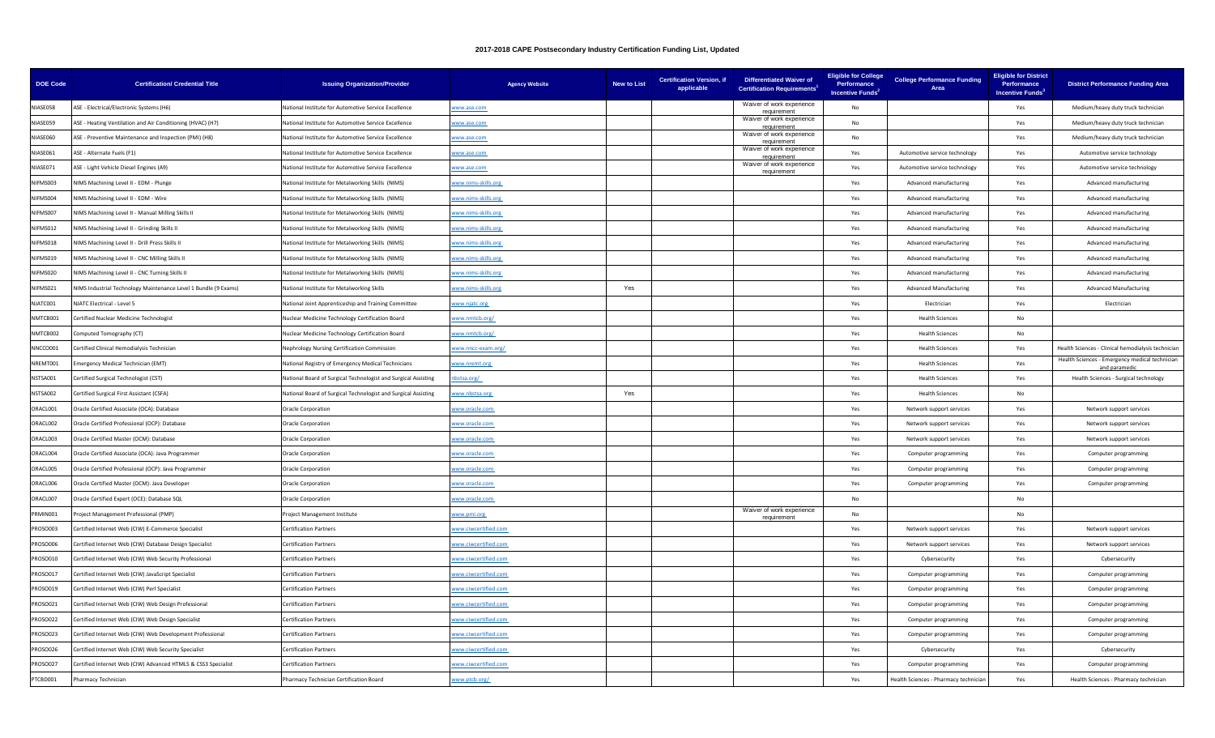| <b>DOE Code</b> | <b>Certification/ Credential Title</b>                          | <b>Issuing Organization/Provider</b>                           | <b>Agency Website</b> | <b>New to List</b> | <b>Certification Version, if</b><br>applicable | <b>Differentiated Waiver of</b><br><b>Certification Requirements</b> | <b>Eligible for College</b><br>Performance<br><b>Incentive Funds</b> | <b>College Performance Funding</b><br>Area | <b>Eligible for District</b><br>Performance<br>Incentive Funds <sup>3</sup> | <b>District Performance Funding Area</b>                        |
|-----------------|-----------------------------------------------------------------|----------------------------------------------------------------|-----------------------|--------------------|------------------------------------------------|----------------------------------------------------------------------|----------------------------------------------------------------------|--------------------------------------------|-----------------------------------------------------------------------------|-----------------------------------------------------------------|
| NIASE058        | ASE - Electrical/Electronic Systems (H6)                        | lational Institute for Automotive Service Excellence           | vww.ase.com           |                    |                                                | Waiver of work experience<br>requirement                             | <b>No</b>                                                            |                                            | Yes                                                                         | Medium/heavy duty truck technician                              |
| NIASE059        | ASE - Heating Ventilation and Air Conditioning (HVAC) (H7)      | National Institute for Automotive Service Excellence           | www.ase.com           |                    |                                                | Waiver of work experience<br>requirement                             | No                                                                   |                                            | Yes                                                                         | Medium/heavy duty truck technician                              |
| NIASE060        | ASE - Preventive Maintenance and Inspection (PMI) (H8)          | National Institute for Automotive Service Excellence           | www.ase.com           |                    |                                                | Waiver of work experience<br>requirement                             | No                                                                   |                                            | Yes                                                                         | Medium/heavy duty truck technician                              |
| NIASE061        | ASE - Alternate Fuels (F1)                                      | National Institute for Automotive Service Excellence           | vww.ase.com           |                    |                                                | Waiver of work experience                                            | Yes                                                                  | Automotive service technology              | Yes                                                                         | Automotive service technology                                   |
| NIASE071        | ASE - Light Vehicle Diesel Engines (A9)                         | National Institute for Automotive Service Excellence           | www.ase.com           |                    |                                                | Waiver of work experience<br>requirement                             | Yes                                                                  | Automotive service technology              | Yes                                                                         | Automotive service technology                                   |
| NIFMS003        | NIMS Machining Level II - EDM - Plunge                          | National Institute for Metalworking Skills (NIMS)              | www.nims-skills.org   |                    |                                                |                                                                      | Yes                                                                  | Advanced manufacturing                     | Yes                                                                         | Advanced manufacturing                                          |
| NIFMS004        | NIMS Machining Level II - EDM - Wire                            | Vational Institute for Metalworking Skills (NIMS)              | ww.nims-skills.org    |                    |                                                |                                                                      | Yes                                                                  | Advanced manufacturing                     | Yes                                                                         | Advanced manufacturing                                          |
| NIFMS007        | NIMS Machining Level II - Manual Milling Skills II              | National Institute for Metalworking Skills (NIMS)              | www.nims-skills.org   |                    |                                                |                                                                      | Yes                                                                  | Advanced manufacturing                     | Yes                                                                         | Advanced manufacturing                                          |
| NIFMS012        | NIMS Machining Level II - Grinding Skills II                    | National Institute for Metalworking Skills (NIMS)              | www.nims-skills.org   |                    |                                                |                                                                      | Yes                                                                  | Advanced manufacturing                     | Yes                                                                         | Advanced manufacturing                                          |
| NIFMS018        | NIMS Machining Level II - Drill Press Skills II                 | National Institute for Metalworking Skills (NIMS)              | vww.nims-skills.org   |                    |                                                |                                                                      | Yes                                                                  | Advanced manufacturing                     | Yes                                                                         | Advanced manufacturing                                          |
| NIFMS019        | NIMS Machining Level II - CNC Milling Skills II                 | National Institute for Metalworking Skills (NIMS)              | www.nims-skills.org   |                    |                                                |                                                                      | Yes                                                                  | Advanced manufacturing                     | Yes                                                                         | Advanced manufacturing                                          |
| NIFMS020        | NIMS Machining Level II - CNC Turning Skills II                 | National Institute for Metalworking Skills (NIMS)              | www.nims-skills.org   |                    |                                                |                                                                      | Yes                                                                  | Advanced manufacturing                     | Yes                                                                         | Advanced manufacturing                                          |
| NIFMS021        | NIMS Industrial Technology Maintenance Level 1 Bundle (9 Exams) | National Institute for Metalworking Skills                     | www.nims-skills.org   | Yes                |                                                |                                                                      | Yes                                                                  | <b>Advanced Manufacturing</b>              | Yes                                                                         | <b>Advanced Manufacturing</b>                                   |
| NJATC001        | NJATC Electrical - Level 5                                      | National Joint Apprenticeship and Training Committee           | www.njatc.org         |                    |                                                |                                                                      | Yes                                                                  | Electrician                                | Yes                                                                         | Electrician                                                     |
| NMTCB001        | Certified Nuclear Medicine Technologist                         | Nuclear Medicine Technology Certification Board                | ww.nmtcb.org/         |                    |                                                |                                                                      | Yes                                                                  | <b>Health Sciences</b>                     | No                                                                          |                                                                 |
| NMTCB002        | Computed Tomography (CT)                                        | Nuclear Medicine Technology Certification Board                | www.nmtcb.org/        |                    |                                                |                                                                      | Yes                                                                  | <b>Health Sciences</b>                     | No                                                                          |                                                                 |
| NNCCO001        | Certified Clinical Hemodialysis Technician                      | Nephrology Nursing Certification Commission                    | www.nncc-exam.org/    |                    |                                                |                                                                      | Yes                                                                  | <b>Health Sciences</b>                     | Yes                                                                         | Health Sciences - Clinical hemodialysis techniciar              |
| NREMT001        | mergency Medical Technician (EMT)                               | <b>Vational Registry of Emergency Medical Technicians</b>      | www.nremt.org         |                    |                                                |                                                                      | Yes                                                                  | <b>Health Sciences</b>                     | Yes                                                                         | Health Sciences - Emergency medical technician<br>and paramedie |
| NSTSA001        | Certified Surgical Technologist (CST)                           | National Board of Surgical Technologist and Surgical Assisting | bstsa.org/            |                    |                                                |                                                                      | Yes                                                                  | <b>Health Sciences</b>                     | Yes                                                                         | Health Sciences - Surgical technology                           |
| NSTSA002        | Certified Surgical First Assistant (CSFA)                       | National Board of Surgical Technologist and Surgical Assisting | ww.nbstsa.org         | Yes                |                                                |                                                                      | Yes                                                                  | <b>Health Sciences</b>                     | $\mathsf{No}$                                                               |                                                                 |
| ORACL001        | Oracle Certified Associate (OCA): Database                      | <b>Oracle Corporation</b>                                      | www.oracle.com        |                    |                                                |                                                                      | Yes                                                                  | Network support services                   | Yes                                                                         | Network support services                                        |
| ORACL002        | Oracle Certified Professional (OCP): Database                   | <b>Oracle Corporation</b>                                      | vww.oracle.com        |                    |                                                |                                                                      | Yes                                                                  | Network support services                   | Yes                                                                         | Network support services                                        |
| ORACL003        | Oracle Certified Master (OCM): Database                         | <b>Oracle Corporation</b>                                      | www.oracle.com        |                    |                                                |                                                                      | Yes                                                                  | Network support services                   | Yes                                                                         | Network support services                                        |
| ORACL004        | Oracle Certified Associate (OCA): Java Programmer               | <b>Oracle Corporation</b>                                      | vww.oracle.com        |                    |                                                |                                                                      | Yes                                                                  | Computer programming                       | Yes                                                                         | Computer programming                                            |
| ORACL005        | Oracle Certified Professional (OCP): Java Programmer            | <b>Oracle Corporation</b>                                      | www.oracle.com        |                    |                                                |                                                                      | Yes                                                                  | Computer programming                       | Yes                                                                         | Computer programming                                            |
| ORACL006        | Oracle Certified Master (OCM): Java Developer                   | <b>Oracle Corporation</b>                                      | ww.oracle.com         |                    |                                                |                                                                      | Yes                                                                  | Computer programming                       | Yes                                                                         | Computer programming                                            |
| ORACL007        | Oracle Certified Expert (OCE): Database SQL                     | <b>Oracle Corporation</b>                                      | www.oracle.com        |                    |                                                |                                                                      | No                                                                   |                                            | No                                                                          |                                                                 |
| RMIN001         | Project Management Professional (PMP)                           | Project Management Institute                                   | www.pmi.org           |                    |                                                | Waiver of work experience<br>requirement                             | No                                                                   |                                            | No                                                                          |                                                                 |
| PROSO003        | Certified Internet Web (CIW) E-Commerce Specialist              | <b>Certification Partners</b>                                  | ww.ciwcertified.com   |                    |                                                |                                                                      | Yes                                                                  | Network support services                   | Yes                                                                         | Network support services                                        |
| <b>ROSO006</b>  | Certified Internet Web (CIW) Database Design Specialist         | <b>Certification Partners</b>                                  | ww.ciwcertified.com   |                    |                                                |                                                                      | Yes                                                                  | Network support services                   | Yes                                                                         | Network support services                                        |
| ROSO010         | Certified Internet Web (CIW) Web Security Professional          | <b>Certification Partners</b>                                  | ww.ciwcertified.com   |                    |                                                |                                                                      | Yes                                                                  | Cybersecurity                              | Yes                                                                         | Cybersecurity                                                   |
| <b>ROSO017</b>  | Certified Internet Web (CIW) JavaScript Specialist              | <b>Certification Partners</b>                                  | www.ciwcertified.com  |                    |                                                |                                                                      | Yes                                                                  | Computer programming                       | Yes                                                                         | Computer programming                                            |
| ROSO019         | Certified Internet Web (CIW) Perl Specialist                    | <b>Certification Partners</b>                                  | ww.ciwcertified.com   |                    |                                                |                                                                      | Yes                                                                  | Computer programming                       | Yes                                                                         | Computer programming                                            |
| ROSO021         | Certified Internet Web (CIW) Web Design Professional            | <b>Certification Partners</b>                                  | ww.ciwcertified.com   |                    |                                                |                                                                      | Yes                                                                  | Computer programming                       | Yes                                                                         | Computer programming                                            |
| PROSO022        | Certified Internet Web (CIW) Web Design Specialist              | <b>Certification Partners</b>                                  | www.ciwcertified.com  |                    |                                                |                                                                      | Yes                                                                  | Computer programming                       | Yes                                                                         | Computer programming                                            |
| PROSO023        | Certified Internet Web (CIW) Web Development Professional       | <b>Certification Partners</b>                                  | www.ciwcertified.com  |                    |                                                |                                                                      | Yes                                                                  | Computer programming                       | Yes                                                                         | Computer programming                                            |
| ROSO026         | Certified Internet Web (CIW) Web Security Specialist            | <b>Certification Partners</b>                                  | ww.ciwcertified.com   |                    |                                                |                                                                      | Yes                                                                  | Cybersecurity                              | Yes                                                                         | Cybersecurity                                                   |
| PROSO027        | Certified Internet Web (CIW) Advanced HTML5 & CSS3 Specialist   | <b>Certification Partners</b>                                  | www.ciwcertified.com  |                    |                                                |                                                                      | Yes                                                                  | Computer programming                       | Yes                                                                         | Computer programming                                            |
| PTCBD001        | Pharmacy Technician                                             | Pharmacy Technician Certification Board                        | www.ptcb.org/         |                    |                                                |                                                                      | Yes                                                                  | Health Sciences - Pharmacy technician      | Yes                                                                         | Health Sciences - Pharmacy technician                           |